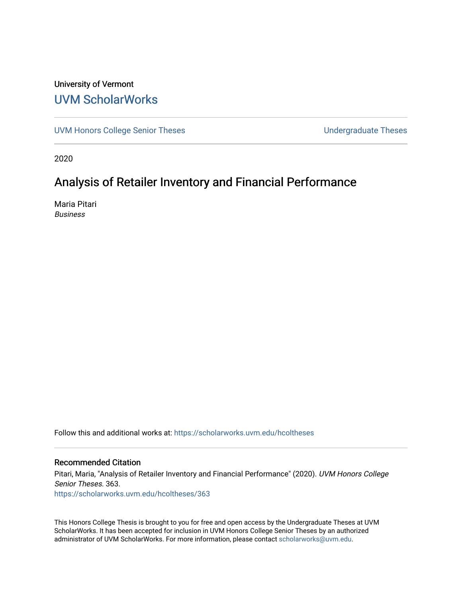# University of Vermont [UVM ScholarWorks](https://scholarworks.uvm.edu/)

[UVM Honors College Senior Theses](https://scholarworks.uvm.edu/hcoltheses) **Exercise Sension** Undergraduate Theses

2020

# Analysis of Retailer Inventory and Financial Performance

Maria Pitari Business

Follow this and additional works at: [https://scholarworks.uvm.edu/hcoltheses](https://scholarworks.uvm.edu/hcoltheses?utm_source=scholarworks.uvm.edu%2Fhcoltheses%2F363&utm_medium=PDF&utm_campaign=PDFCoverPages) 

#### Recommended Citation

Pitari, Maria, "Analysis of Retailer Inventory and Financial Performance" (2020). UVM Honors College Senior Theses. 363. [https://scholarworks.uvm.edu/hcoltheses/363](https://scholarworks.uvm.edu/hcoltheses/363?utm_source=scholarworks.uvm.edu%2Fhcoltheses%2F363&utm_medium=PDF&utm_campaign=PDFCoverPages) 

This Honors College Thesis is brought to you for free and open access by the Undergraduate Theses at UVM ScholarWorks. It has been accepted for inclusion in UVM Honors College Senior Theses by an authorized administrator of UVM ScholarWorks. For more information, please contact [scholarworks@uvm.edu](mailto:scholarworks@uvm.edu).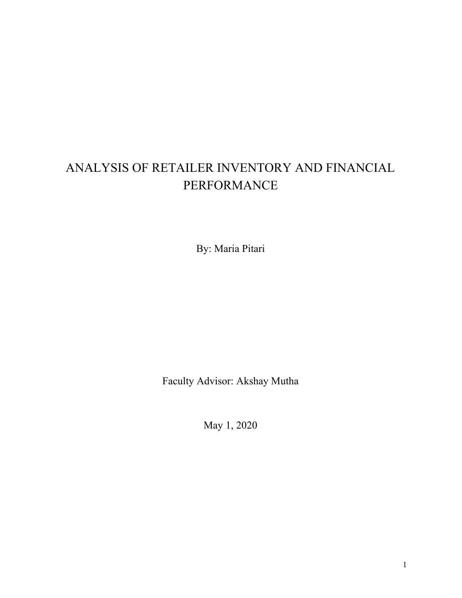# ANALYSIS OF RETAILER INVENTORY AND FINANCIAL PERFORMANCE

By: Maria Pitari

Faculty Advisor: Akshay Mutha

May 1, 2020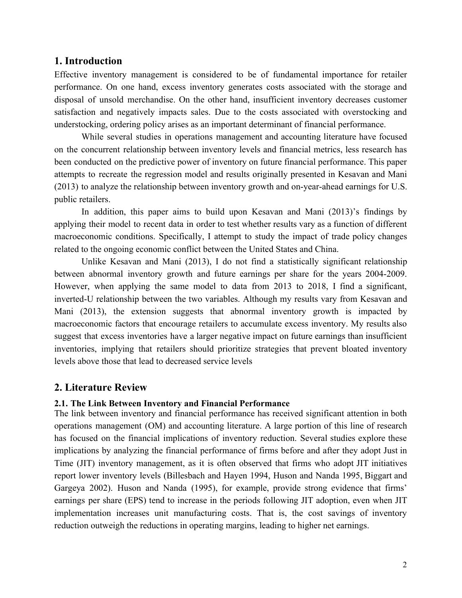# **1. Introduction**

Effective inventory management is considered to be of fundamental importance for retailer performance. On one hand, excess inventory generates costs associated with the storage and disposal of unsold merchandise. On the other hand, insufficient inventory decreases customer satisfaction and negatively impacts sales. Due to the costs associated with overstocking and understocking, ordering policy arises as an important determinant of financial performance.

While several studies in operations management and accounting literature have focused on the concurrent relationship between inventory levels and financial metrics, less research has been conducted on the predictive power of inventory on future financial performance. This paper attempts to recreate the regression model and results originally presented in Kesavan and Mani (2013) to analyze the relationship between inventory growth and on-year-ahead earnings for U.S. public retailers.

In addition, this paper aims to build upon Kesavan and Mani (2013)'s findings by applying their model to recent data in order to test whether results vary as a function of different macroeconomic conditions. Specifically, I attempt to study the impact of trade policy changes related to the ongoing economic conflict between the United States and China.

Unlike Kesavan and Mani (2013), I do not find a statistically significant relationship between abnormal inventory growth and future earnings per share for the years 2004-2009. However, when applying the same model to data from 2013 to 2018, I find a significant, inverted-U relationship between the two variables. Although my results vary from Kesavan and Mani (2013), the extension suggests that abnormal inventory growth is impacted by macroeconomic factors that encourage retailers to accumulate excess inventory. My results also suggest that excess inventories have a larger negative impact on future earnings than insufficient inventories, implying that retailers should prioritize strategies that prevent bloated inventory levels above those that lead to decreased service levels

# **2. Literature Review**

### **2.1. The Link Between Inventory and Financial Performance**

The link between inventory and financial performance has received significant attention in both operations management (OM) and accounting literature. A large portion of this line of research has focused on the financial implications of inventory reduction. Several studies explore these implications by analyzing the financial performance of firms before and after they adopt Just in Time (JIT) inventory management, as it is often observed that firms who adopt JIT initiatives report lower inventory levels (Billesbach and Hayen 1994, Huson and Nanda 1995, Biggart and Gargeya 2002). Huson and Nanda (1995), for example, provide strong evidence that firms' earnings per share (EPS) tend to increase in the periods following JIT adoption, even when JIT implementation increases unit manufacturing costs. That is, the cost savings of inventory reduction outweigh the reductions in operating margins, leading to higher net earnings.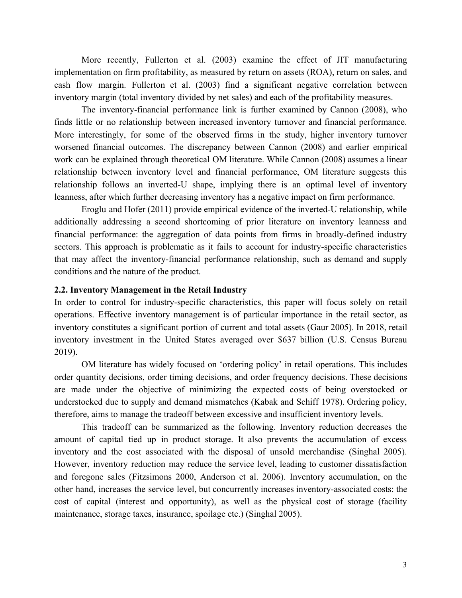More recently, Fullerton et al. (2003) examine the effect of JIT manufacturing implementation on firm profitability, as measured by return on assets (ROA), return on sales, and cash flow margin. Fullerton et al. (2003) find a significant negative correlation between inventory margin (total inventory divided by net sales) and each of the profitability measures.

The inventory-financial performance link is further examined by Cannon (2008), who finds little or no relationship between increased inventory turnover and financial performance. More interestingly, for some of the observed firms in the study, higher inventory turnover worsened financial outcomes. The discrepancy between Cannon (2008) and earlier empirical work can be explained through theoretical OM literature. While Cannon (2008) assumes a linear relationship between inventory level and financial performance, OM literature suggests this relationship follows an inverted-U shape, implying there is an optimal level of inventory leanness, after which further decreasing inventory has a negative impact on firm performance.

Eroglu and Hofer (2011) provide empirical evidence of the inverted-U relationship, while additionally addressing a second shortcoming of prior literature on inventory leanness and financial performance: the aggregation of data points from firms in broadly-defined industry sectors. This approach is problematic as it fails to account for industry-specific characteristics that may affect the inventory-financial performance relationship, such as demand and supply conditions and the nature of the product.

#### **2.2. Inventory Management in the Retail Industry**

In order to control for industry-specific characteristics, this paper will focus solely on retail operations. Effective inventory management is of particular importance in the retail sector, as inventory constitutes a significant portion of current and total assets (Gaur 2005). In 2018, retail inventory investment in the United States averaged over \$637 billion (U.S. Census Bureau 2019).

OM literature has widely focused on 'ordering policy' in retail operations. This includes order quantity decisions, order timing decisions, and order frequency decisions. These decisions are made under the objective of minimizing the expected costs of being overstocked or understocked due to supply and demand mismatches (Kabak and Schiff 1978). Ordering policy, therefore, aims to manage the tradeoff between excessive and insufficient inventory levels.

This tradeoff can be summarized as the following. Inventory reduction decreases the amount of capital tied up in product storage. It also prevents the accumulation of excess inventory and the cost associated with the disposal of unsold merchandise (Singhal 2005). However, inventory reduction may reduce the service level, leading to customer dissatisfaction and foregone sales (Fitzsimons 2000, Anderson et al. 2006). Inventory accumulation, on the other hand, increases the service level, but concurrently increases inventory-associated costs: the cost of capital (interest and opportunity), as well as the physical cost of storage (facility maintenance, storage taxes, insurance, spoilage etc.) (Singhal 2005).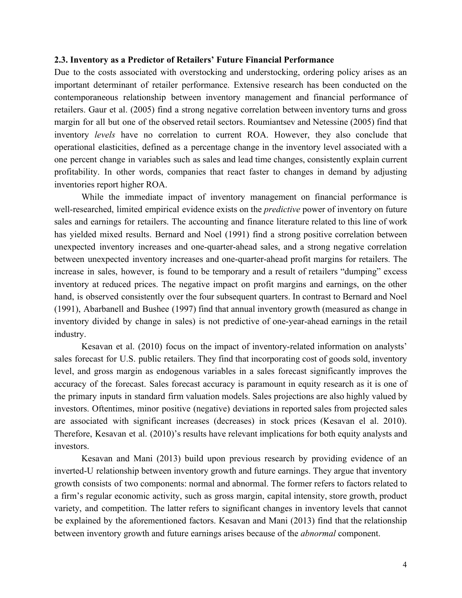#### **2.3. Inventory as a Predictor of Retailers' Future Financial Performance**

Due to the costs associated with overstocking and understocking, ordering policy arises as an important determinant of retailer performance. Extensive research has been conducted on the contemporaneous relationship between inventory management and financial performance of retailers. Gaur et al. (2005) find a strong negative correlation between inventory turns and gross margin for all but one of the observed retail sectors. Roumiantsev and Netessine (2005) find that inventory *levels* have no correlation to current ROA. However, they also conclude that operational elasticities, defined as a percentage change in the inventory level associated with a one percent change in variables such as sales and lead time changes, consistently explain current profitability. In other words, companies that react faster to changes in demand by adjusting inventories report higher ROA.

While the immediate impact of inventory management on financial performance is well-researched, limited empirical evidence exists on the *predictive* power of inventory on future sales and earnings for retailers. The accounting and finance literature related to this line of work has yielded mixed results. Bernard and Noel (1991) find a strong positive correlation between unexpected inventory increases and one-quarter-ahead sales, and a strong negative correlation between unexpected inventory increases and one-quarter-ahead profit margins for retailers. The increase in sales, however, is found to be temporary and a result of retailers "dumping" excess inventory at reduced prices. The negative impact on profit margins and earnings, on the other hand, is observed consistently over the four subsequent quarters. In contrast to Bernard and Noel (1991), Abarbanell and Bushee (1997) find that annual inventory growth (measured as change in inventory divided by change in sales) is not predictive of one-year-ahead earnings in the retail industry.

Kesavan et al. (2010) focus on the impact of inventory-related information on analysts' sales forecast for U.S. public retailers. They find that incorporating cost of goods sold, inventory level, and gross margin as endogenous variables in a sales forecast significantly improves the accuracy of the forecast. Sales forecast accuracy is paramount in equity research as it is one of the primary inputs in standard firm valuation models. Sales projections are also highly valued by investors. Oftentimes, minor positive (negative) deviations in reported sales from projected sales are associated with significant increases (decreases) in stock prices (Kesavan el al. 2010). Therefore, Kesavan et al. (2010)'s results have relevant implications for both equity analysts and investors.

Kesavan and Mani (2013) build upon previous research by providing evidence of an inverted-U relationship between inventory growth and future earnings. They argue that inventory growth consists of two components: normal and abnormal. The former refers to factors related to a firm's regular economic activity, such as gross margin, capital intensity, store growth, product variety, and competition. The latter refers to significant changes in inventory levels that cannot be explained by the aforementioned factors. Kesavan and Mani (2013) find that the relationship between inventory growth and future earnings arises because of the *abnormal* component.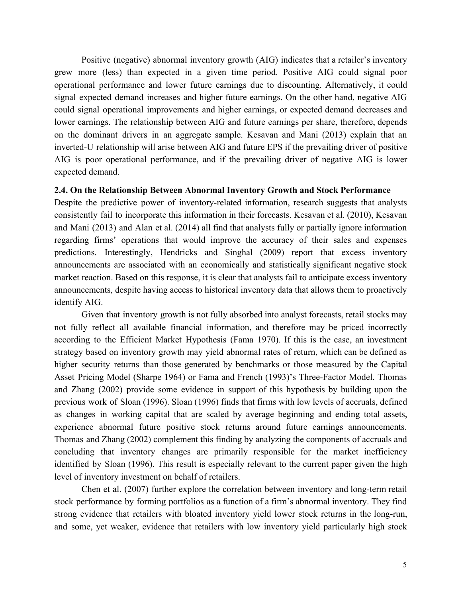Positive (negative) abnormal inventory growth (AIG) indicates that a retailer's inventory grew more (less) than expected in a given time period. Positive AIG could signal poor operational performance and lower future earnings due to discounting. Alternatively, it could signal expected demand increases and higher future earnings. On the other hand, negative AIG could signal operational improvements and higher earnings, or expected demand decreases and lower earnings. The relationship between AIG and future earnings per share, therefore, depends on the dominant drivers in an aggregate sample. Kesavan and Mani (2013) explain that an inverted-U relationship will arise between AIG and future EPS if the prevailing driver of positive AIG is poor operational performance, and if the prevailing driver of negative AIG is lower expected demand.

#### **2.4. On the Relationship Between Abnormal Inventory Growth and Stock Performance**

Despite the predictive power of inventory-related information, research suggests that analysts consistently fail to incorporate this information in their forecasts. Kesavan et al. (2010), Kesavan and Mani (2013) and Alan et al. (2014) all find that analysts fully or partially ignore information regarding firms' operations that would improve the accuracy of their sales and expenses predictions. Interestingly, Hendricks and Singhal (2009) report that excess inventory announcements are associated with an economically and statistically significant negative stock market reaction. Based on this response, it is clear that analysts fail to anticipate excess inventory announcements, despite having access to historical inventory data that allows them to proactively identify AIG.

Given that inventory growth is not fully absorbed into analyst forecasts, retail stocks may not fully reflect all available financial information, and therefore may be priced incorrectly according to the Efficient Market Hypothesis (Fama 1970). If this is the case, an investment strategy based on inventory growth may yield abnormal rates of return, which can be defined as higher security returns than those generated by benchmarks or those measured by the Capital Asset Pricing Model (Sharpe 1964) or Fama and French (1993)'s Three-Factor Model. Thomas and Zhang (2002) provide some evidence in support of this hypothesis by building upon the previous work of Sloan (1996). Sloan (1996) finds that firms with low levels of accruals, defined as changes in working capital that are scaled by average beginning and ending total assets, experience abnormal future positive stock returns around future earnings announcements. Thomas and Zhang (2002) complement this finding by analyzing the components of accruals and concluding that inventory changes are primarily responsible for the market inefficiency identified by Sloan (1996). This result is especially relevant to the current paper given the high level of inventory investment on behalf of retailers.

Chen et al. (2007) further explore the correlation between inventory and long-term retail stock performance by forming portfolios as a function of a firm's abnormal inventory. They find strong evidence that retailers with bloated inventory yield lower stock returns in the long-run, and some, yet weaker, evidence that retailers with low inventory yield particularly high stock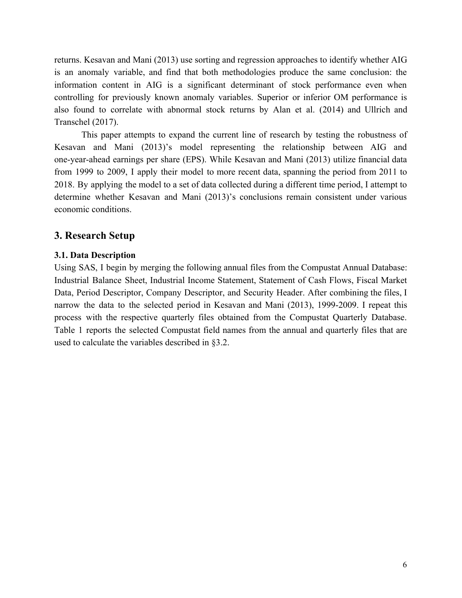returns. Kesavan and Mani (2013) use sorting and regression approaches to identify whether AIG is an anomaly variable, and find that both methodologies produce the same conclusion: the information content in AIG is a significant determinant of stock performance even when controlling for previously known anomaly variables. Superior or inferior OM performance is also found to correlate with abnormal stock returns by Alan et al. (2014) and Ullrich and Transchel (2017).

This paper attempts to expand the current line of research by testing the robustness of Kesavan and Mani (2013)'s model representing the relationship between AIG and one-year-ahead earnings per share (EPS). While Kesavan and Mani (2013) utilize financial data from 1999 to 2009, I apply their model to more recent data, spanning the period from 2011 to 2018. By applying the model to a set of data collected during a different time period, I attempt to determine whether Kesavan and Mani (2013)'s conclusions remain consistent under various economic conditions.

# **3. Research Setup**

# **3.1. Data Description**

Using SAS, I begin by merging the following annual files from the Compustat Annual Database: Industrial Balance Sheet, Industrial Income Statement, Statement of Cash Flows, Fiscal Market Data, Period Descriptor, Company Descriptor, and Security Header. After combining the files, I narrow the data to the selected period in Kesavan and Mani (2013), 1999-2009. I repeat this process with the respective quarterly files obtained from the Compustat Quarterly Database. Table 1 reports the selected Compustat field names from the annual and quarterly files that are used to calculate the variables described in §3.2.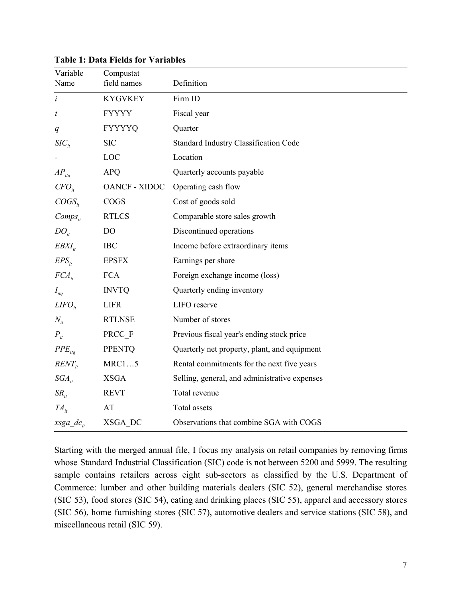| Variable         | Compustat            |                                               |
|------------------|----------------------|-----------------------------------------------|
| Name             | field names          | Definition                                    |
| $\dot{i}$        | <b>KYGVKEY</b>       | Firm ID                                       |
| $\boldsymbol{t}$ | <b>FYYYY</b>         | Fiscal year                                   |
| q                | <b>FYYYYQ</b>        | Quarter                                       |
| $SIC_{ii}$       | <b>SIC</b>           | <b>Standard Industry Classification Code</b>  |
|                  | LOC                  | Location                                      |
| $AP_{iiq}$       | <b>APQ</b>           | Quarterly accounts payable                    |
| $CFO_{it}$       | <b>OANCF - XIDOC</b> | Operating cash flow                           |
| $COGS_{it}$      | <b>COGS</b>          | Cost of goods sold                            |
| $Comps_{ii}$     | <b>RTLCS</b>         | Comparable store sales growth                 |
| $DO_{ii}$        | D <sub>O</sub>       | Discontinued operations                       |
| $EBXI_{it}$      | <b>IBC</b>           | Income before extraordinary items             |
| $EPS_{it}$       | <b>EPSFX</b>         | Earnings per share                            |
| $FCA_{it}$       | <b>FCA</b>           | Foreign exchange income (loss)                |
| $I_{itq}$        | <b>INVTQ</b>         | Quarterly ending inventory                    |
| $LIFO_{it}$      | <b>LIFR</b>          | LIFO reserve                                  |
| $N_{it}$         | $\texttt{RTLNSE}$    | Number of stores                              |
| $P_{it}$         | PRCC F               | Previous fiscal year's ending stock price     |
| $PPE_{ita}$      | <b>PPENTQ</b>        | Quarterly net property, plant, and equipment  |
| $RENT_{it}$      | MRC15                | Rental commitments for the next five years    |
| $SGA_{it}$       | <b>XSGA</b>          | Selling, general, and administrative expenses |
| $SR_{it}$        | <b>REVT</b>          | Total revenue                                 |
| $TA_{it}$        | AT                   | Total assets                                  |
| $xsga_d$         | XSGA DC              | Observations that combine SGA with COGS       |

**Table 1: Data Fields for Variables**

Starting with the merged annual file, I focus my analysis on retail companies by removing firms whose Standard Industrial Classification (SIC) code is not between 5200 and 5999. The resulting sample contains retailers across eight sub-sectors as classified by the U.S. Department of Commerce: lumber and other building materials dealers (SIC 52), general merchandise stores (SIC 53), food stores (SIC 54), eating and drinking places (SIC 55), apparel and accessory stores (SIC 56), home furnishing stores (SIC 57), automotive dealers and service stations (SIC 58), and miscellaneous retail (SIC 59).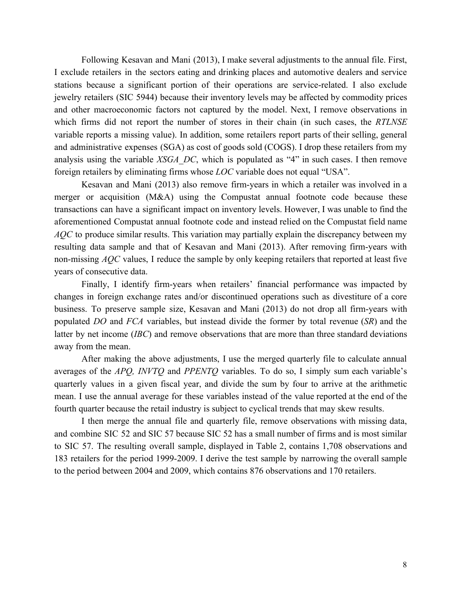Following Kesavan and Mani (2013), I make several adjustments to the annual file. First, I exclude retailers in the sectors eating and drinking places and automotive dealers and service stations because a significant portion of their operations are service-related. I also exclude jewelry retailers (SIC 5944) because their inventory levels may be affected by commodity prices and other macroeconomic factors not captured by the model. Next, I remove observations in which firms did not report the number of stores in their chain (in such cases, the *RTLNSE* variable reports a missing value). In addition, some retailers report parts of their selling, general and administrative expenses (SGA) as cost of goods sold (COGS). I drop these retailers from my analysis using the variable *XSGA\_DC*, which is populated as "4" in such cases. I then remove foreign retailers by eliminating firms whose *LOC* variable does not equal "USA".

Kesavan and Mani (2013) also remove firm-years in which a retailer was involved in a merger or acquisition (M&A) using the Compustat annual footnote code because these transactions can have a significant impact on inventory levels. However, I was unable to find the aforementioned Compustat annual footnote code and instead relied on the Compustat field name *AQC* to produce similar results. This variation may partially explain the discrepancy between my resulting data sample and that of Kesavan and Mani (2013). After removing firm-years with non-missing *AQC* values, I reduce the sample by only keeping retailers that reported at least five years of consecutive data.

Finally, I identify firm-years when retailers' financial performance was impacted by changes in foreign exchange rates and/or discontinued operations such as divestiture of a core business. To preserve sample size, Kesavan and Mani (2013) do not drop all firm-years with populated *DO* and *FCA* variables, but instead divide the former by total revenue (*SR*) and the latter by net income (*IBC*) and remove observations that are more than three standard deviations away from the mean.

After making the above adjustments, I use the merged quarterly file to calculate annual averages of the *APQ, INVTQ* and *PPENTQ* variables. To do so, I simply sum each variable's quarterly values in a given fiscal year, and divide the sum by four to arrive at the arithmetic mean. I use the annual average for these variables instead of the value reported at the end of the fourth quarter because the retail industry is subject to cyclical trends that may skew results.

I then merge the annual file and quarterly file, remove observations with missing data, and combine SIC 52 and SIC 57 because SIC 52 has a small number of firms and is most similar to SIC 57. The resulting overall sample, displayed in Table 2, contains 1,708 observations and 183 retailers for the period 1999-2009. I derive the test sample by narrowing the overall sample to the period between 2004 and 2009, which contains 876 observations and 170 retailers.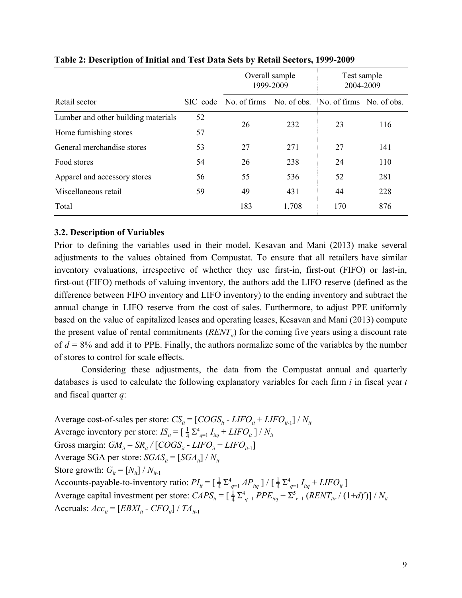|                                     |          | Overall sample<br>1999-2009                       |       | Test sample<br>2004-2009 |     |
|-------------------------------------|----------|---------------------------------------------------|-------|--------------------------|-----|
| Retail sector                       | SIC code | No. of firms No. of obs. No. of firms No. of obs. |       |                          |     |
| Lumber and other building materials | 52       | 26                                                | 232   | 23                       | 116 |
| Home furnishing stores              | 57       |                                                   |       |                          |     |
| General merchandise stores          | 53       | 27                                                | 271   | 27                       | 141 |
| Food stores                         | 54       | 26                                                | 238   | 24                       | 110 |
| Apparel and accessory stores        | 56       | 55                                                | 536   | 52                       | 281 |
| Miscellaneous retail                | 59       | 49                                                | 431   | 44                       | 228 |
| Total                               |          | 183                                               | 1,708 | 170                      | 876 |

# **Table 2: Description of Initial and Test Data Sets by Retail Sectors, 1999-2009**

# **3.2. Description of Variables**

Prior to defining the variables used in their model, Kesavan and Mani (2013) make several adjustments to the values obtained from Compustat. To ensure that all retailers have similar inventory evaluations, irrespective of whether they use first-in, first-out (FIFO) or last-in, first-out (FIFO) methods of valuing inventory, the authors add the LIFO reserve (defined as the difference between FIFO inventory and LIFO inventory) to the ending inventory and subtract the annual change in LIFO reserve from the cost of sales. Furthermore, to adjust PPE uniformly based on the value of capitalized leases and operating leases, Kesavan and Mani (2013) compute the present value of rental commitments  $(RENT_{i}$ ) for the coming five years using a discount rate of  $d = 8\%$  and add it to PPE. Finally, the authors normalize some of the variables by the number of stores to control for scale effects.

Considering these adjustments, the data from the Compustat annual and quarterly databases is used to calculate the following explanatory variables for each firm *i* in fiscal year *t* and fiscal quarter *q*:

Average cost-of-sales per store:  $CS_{it} = [COGS_{it} - LIFO_{it} + LIFO_{it-1}] / N_{it}$ Average inventory per store:  $IS_{it} = \left[\frac{1}{4} \sum_{q=1}^{4} I_{itq} + LIFO_{it}\right] / N_{it}$ Gross margin:  $GM_{it} = SR_{it} / [COGS_{it} - LIFO_{it} + LIFO_{it-1}]$ Average SGA per store:  $SGAS_{it} = [SGA_{it}] / N_{it}$ Store growth:  $G_i = [N_{ii}] / N_{i+1}$ Accounts-payable-to-inventory ratio:  $PI_{it} = \left[\frac{1}{4} \sum_{q=1}^{4} AP_{itq}\right] / \left[\frac{1}{4} \sum_{q=1}^{4} I_{itq} + LIFO_{it}\right]$ 1 4 1 Average capital investment per store:  $CAPS_{it} = [\frac{1}{4} \sum_{q=1}^{4} PPE_{itq} + \sum_{r=1}^{5} (RENT_{itr} / (1+d)^r)]$  $\frac{1}{4}\sum_{q=1}^{4} PPE_{itq} + \sum_{r=1}^{5} (RENT_{itr} / (1+d)^{r}) \big] / N_{it}$ Accruals:  $Acc_{it} = [EBXI_{it} - CFO_{it}] / TA_{it-1}$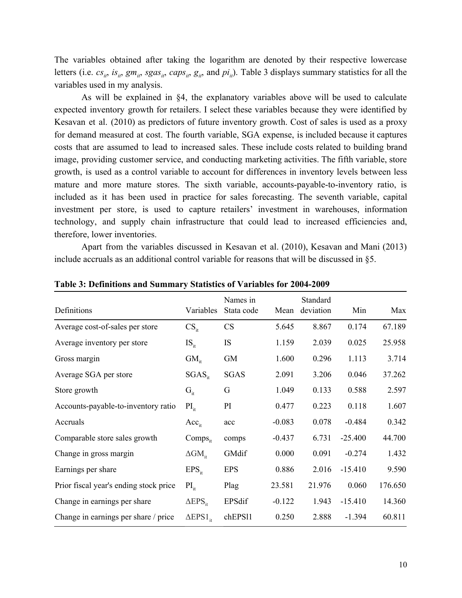The variables obtained after taking the logarithm are denoted by their respective lowercase letters (i.e.  $cs_{i}, is_{i}, gm_{i}, sgas_{i}, caps_{i}, g_{i},$  and  $pi_{i}$ ). Table 3 displays summary statistics for all the variables used in my analysis.

As will be explained in §4, the explanatory variables above will be used to calculate expected inventory growth for retailers. I select these variables because they were identified by Kesavan et al. (2010) as predictors of future inventory growth. Cost of sales is used as a proxy for demand measured at cost. The fourth variable, SGA expense, is included because it captures costs that are assumed to lead to increased sales. These include costs related to building brand image, providing customer service, and conducting marketing activities. The fifth variable, store growth, is used as a control variable to account for differences in inventory levels between less mature and more mature stores. The sixth variable, accounts-payable-to-inventory ratio, is included as it has been used in practice for sales forecasting. The seventh variable, capital investment per store, is used to capture retailers' investment in warehouses, information technology, and supply chain infrastructure that could lead to increased efficiencies and, therefore, lower inventories.

Apart from the variables discussed in Kesavan et al. (2010), Kesavan and Mani (2013) include accruals as an additional control variable for reasons that will be discussed in §5.

| Definitions                            | Variables               | Names in<br>Stata code | Mean     | Standard<br>deviation | Min       | Max     |
|----------------------------------------|-------------------------|------------------------|----------|-----------------------|-----------|---------|
| Average cost-of-sales per store        | $CS_{it}$               | <b>CS</b>              | 5.645    | 8.867                 | 0.174     | 67.189  |
| Average inventory per store            | $IS_{it}$               | IS                     | 1.159    | 2.039                 | 0.025     | 25.958  |
| Gross margin                           | $GM_{\text{it}}$        | <b>GM</b>              | 1.600    | 0.296                 | 1.113     | 3.714   |
| Average SGA per store                  | $SGAS_{it}$             | <b>SGAS</b>            | 2.091    | 3.206                 | 0.046     | 37.262  |
| Store growth                           | $G_{it}$                | G                      | 1.049    | 0.133                 | 0.588     | 2.597   |
| Accounts-payable-to-inventory ratio    | $PI_{it}$               | PI                     | 0.477    | 0.223                 | 0.118     | 1.607   |
| Accruals                               | $Acc_{it}$              | acc                    | $-0.083$ | 0.078                 | $-0.484$  | 0.342   |
| Comparable store sales growth          | $Comps_{it}$            | comps                  | $-0.437$ | 6.731                 | $-25.400$ | 44.700  |
| Change in gross margin                 | $\Delta GM_{\text{it}}$ | GMdif                  | 0.000    | 0.091                 | $-0.274$  | 1.432   |
| Earnings per share                     | $EPS_{it}$              | <b>EPS</b>             | 0.886    | 2.016                 | $-15.410$ | 9.590   |
| Prior fiscal year's ending stock price | $PI_{it}$               | Plag                   | 23.581   | 21.976                | 0.060     | 176.650 |
| Change in earnings per share           | $\triangle EPS_{it}$    | EPSdif                 | $-0.122$ | 1.943                 | $-15.410$ | 14.360  |
| Change in earnings per share / price   | $\Delta$ EPS $1_{it}$   | chEPS11                | 0.250    | 2.888                 | $-1.394$  | 60.811  |

**Table 3: Definitions and Summary Statistics of Variables for 2004-2009**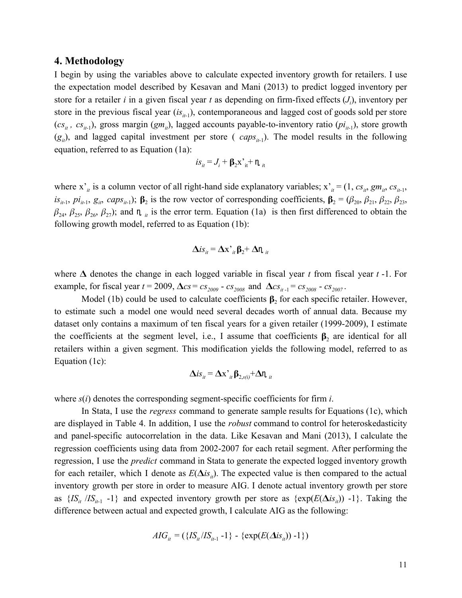### **4. Methodology**

I begin by using the variables above to calculate expected inventory growth for retailers. I use the expectation model described by Kesavan and Mani (2013) to predict logged inventory per store for a retailer *i* in a given fiscal year *t* as depending on firm-fixed effects (*J<sup>i</sup>* ), inventory per store in the previous fiscal year (*is*<sub>*it*-1</sub>), contemporaneous and lagged cost of goods sold per store  $(c_{s_{it}}, c_{s_{it-1}})$ , gross margin  $(g_{mit})$ , lagged accounts payable-to-inventory ratio  $(p_i_{i+1})$ , store growth  $(g_{ii})$ , and lagged capital investment per store (*caps*<sub>*it*-1</sub>). The model results in the following equation, referred to as Equation (1a):

$$
is_{it} = J_i + \beta_2 x^{\prime}_{it} + \eta_{it}
$$

where  $x'_i$  is a column vector of all right-hand side explanatory variables;  $x'_i = (1, cs_{ii}, gm_{ii}, cs_{ii-1},$  $is_{it-1}, pi_{it-1}, g_{it}, caps_{it-1}$ ;  $\beta_2$  is the row vector of corresponding coefficients,  $\beta_2 = (\beta_{20}, \beta_{21}, \beta_{22}, \beta_{23}, \beta_{22})$  $\beta_{24}, \beta_{25}, \beta_{26}, \beta_{27}$ ); and  $\eta_{ii}$  is the error term. Equation (1a) is then first differenced to obtain the following growth model, referred to as Equation (1b):

$$
\Delta i s_{it} = \Delta x^{\prime}_{it} \beta_2 + \Delta n_{it}
$$

where  $\Delta$  denotes the change in each logged variable in fiscal year *t* from fiscal year *t* -1. For example, for fiscal year  $t = 2009$ ,  $\Delta cs = cs_{2009} - cs_{2008}$  and  $\Delta cs_{it-1} = cs_{2008} - cs_{2007}$ .

Model (1b) could be used to calculate coefficients  $\beta_2$  for each specific retailer. However, to estimate such a model one would need several decades worth of annual data. Because my dataset only contains a maximum of ten fiscal years for a given retailer (1999-2009), I estimate the coefficients at the segment level, i.e., I assume that coefficients  $\beta_2$  are identical for all retailers within a given segment. This modification yields the following model, referred to as Equation (1c):

$$
\Delta is_{it} = \Delta x^{\prime}_{it} \beta_{2, s(i)} + \Delta n_{it}
$$

where *s*(*i*) denotes the corresponding segment-specific coefficients for firm *i*.

In Stata, I use the *regress* command to generate sample results for Equations (1c), which are displayed in Table 4. In addition, I use the *robust* command to control for heteroskedasticity and panel-specific autocorrelation in the data. Like Kesavan and Mani (2013), I calculate the regression coefficients using data from 2002-2007 for each retail segment. After performing the regression, I use the *predict* command in Stata to generate the expected logged inventory growth for each retailer, which I denote as  $E(\Delta is_{it})$ . The expected value is then compared to the actual inventory growth per store in order to measure AIG. I denote actual inventory growth per store as  $\{IS_i / IS_{i} \neq -1\}$  and expected inventory growth per store as  $\{exp(E(\Delta is_i)) -1\}$ . Taking the difference between actual and expected growth, I calculate AIG as the following:

$$
AIG_{it} = (\{IS_{it}/IS_{it-1} - 1\} - \{\exp(E(\Delta is_{it})) - 1\})
$$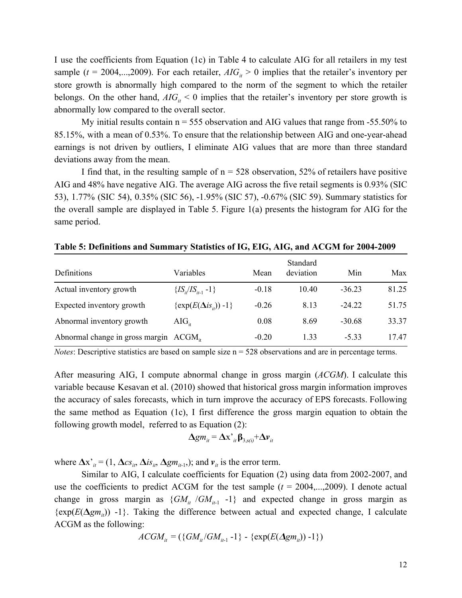I use the coefficients from Equation (1c) in Table 4 to calculate AIG for all retailers in my test sample ( $t = 2004,...,2009$ ). For each retailer,  $AIG_i > 0$  implies that the retailer's inventory per store growth is abnormally high compared to the norm of the segment to which the retailer belongs. On the other hand,  $AIG_i \leq 0$  implies that the retailer's inventory per store growth is abnormally low compared to the overall sector.

My initial results contain  $n = 555$  observation and AIG values that range from  $-55.50\%$  to 85.15%, with a mean of 0.53%. To ensure that the relationship between AIG and one-year-ahead earnings is not driven by outliers, I eliminate AIG values that are more than three standard deviations away from the mean.

I find that, in the resulting sample of  $n = 528$  observation, 52% of retailers have positive AIG and 48% have negative AIG. The average AIG across the five retail segments is 0.93% (SIC 53), 1.77% (SIC 54), 0.35% (SIC 56), -1.95% (SIC 57), -0.67% (SIC 59). Summary statistics for the overall sample are displayed in Table 5. Figure 1(a) presents the histogram for AIG for the same period.

|                                                    |                                  |         | Standard  |          |       |
|----------------------------------------------------|----------------------------------|---------|-----------|----------|-------|
| Definitions                                        | Variables                        | Mean    | deviation | Min      | Max   |
| Actual inventory growth                            | $\{IS_i/IS_{i+1} -1\}$           | $-0.18$ | 10.40     | $-36.23$ | 81.25 |
| Expected inventory growth                          | $\{\exp(E(\Delta is_{ii})) -1\}$ | $-0.26$ | 8.13      | $-2422$  | 51.75 |
| Abnormal inventory growth                          | $\rm{AIG}_{ir}$                  | 0.08    | 8.69      | $-30.68$ | 33.37 |
| Abnormal change in gross margin ACGM <sub>it</sub> |                                  | $-0.20$ | 1.33      | $-5.33$  | 17.47 |

**Table 5: Definitions and Summary Statistics of IG, EIG, AIG, and ACGM for 2004-2009**

*Notes*: Descriptive statistics are based on sample size  $n = 528$  observations and are in percentage terms.

After measuring AIG, I compute abnormal change in gross margin (*ACGM*). I calculate this variable because Kesavan et al. (2010) showed that historical gross margin information improves the accuracy of sales forecasts, which in turn improve the accuracy of EPS forecasts. Following the same method as Equation (1c), I first difference the gross margin equation to obtain the following growth model, referred to as Equation (2):

$$
\Delta g m_{it} = \Delta x^{\prime}_{it} \beta_{3, s(i)} + \Delta v_{it}
$$

where  $\Delta x'_{it} = (1, \Delta c s_{it}, \Delta i s_{it}, \Delta g m_{it-1})$ ; and  $v_{it}$  is the error term.

Similar to AIG, I calculate coefficients for Equation (2) using data from 2002-2007, and use the coefficients to predict ACGM for the test sample  $(t = 2004,...,2009)$ . I denote actual change in gross margin as  $\{GM_i/GM_{i+1}$  -1} and expected change in gross margin as  $\{ \exp(E(\Delta g m_i)) -1 \}$ . Taking the difference between actual and expected change, I calculate ACGM as the following:

$$
ACGM_{ii} = (\{GM_{ii}/GM_{ii-1} - 1\} - \{\exp(E(\Delta g m_{ii})) - 1\})
$$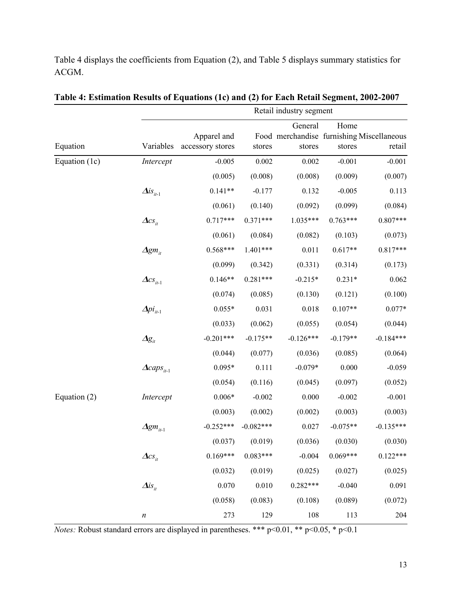Table 4 displays the coefficients from Equation (2), and Table 5 displays summary statistics for ACGM.

|                | Retail muusti y segment          |                  |             |             |                                                                                                                                                                                                                                                                                                                |                                                               |  |  |  |
|----------------|----------------------------------|------------------|-------------|-------------|----------------------------------------------------------------------------------------------------------------------------------------------------------------------------------------------------------------------------------------------------------------------------------------------------------------|---------------------------------------------------------------|--|--|--|
|                |                                  |                  |             | General     | Home                                                                                                                                                                                                                                                                                                           |                                                               |  |  |  |
|                |                                  | Apparel and      |             |             |                                                                                                                                                                                                                                                                                                                |                                                               |  |  |  |
| Equation       | Variables                        | accessory stores | stores      | stores      |                                                                                                                                                                                                                                                                                                                | retail                                                        |  |  |  |
| Equation (1c)  | Intercept                        | $-0.005$         | 0.002       | 0.002       | $-0.001$                                                                                                                                                                                                                                                                                                       | $-0.001$                                                      |  |  |  |
|                |                                  | (0.005)          | (0.008)     | (0.008)     |                                                                                                                                                                                                                                                                                                                | (0.007)                                                       |  |  |  |
|                | $\Delta is_{it-1}$               | $0.141**$        | $-0.177$    | 0.132       |                                                                                                                                                                                                                                                                                                                | 0.113                                                         |  |  |  |
|                |                                  | (0.061)          | (0.140)     | (0.092)     |                                                                                                                                                                                                                                                                                                                | (0.084)                                                       |  |  |  |
|                | $\Delta cs_{it}$                 | $0.717***$       | $0.371***$  | 1.035***    |                                                                                                                                                                                                                                                                                                                | $0.807***$                                                    |  |  |  |
|                |                                  | (0.061)          | (0.084)     | (0.082)     |                                                                                                                                                                                                                                                                                                                | (0.073)                                                       |  |  |  |
|                | $\bm{\Delta}$ gm $_{it}$         | $0.568***$       | $1.401***$  | 0.011       |                                                                                                                                                                                                                                                                                                                | $0.817***$                                                    |  |  |  |
|                |                                  | (0.099)          | (0.342)     | (0.331)     |                                                                                                                                                                                                                                                                                                                | (0.173)                                                       |  |  |  |
|                | $\Delta cs_{it-1}$               | $0.146**$        | $0.281***$  | $-0.215*$   |                                                                                                                                                                                                                                                                                                                | 0.062                                                         |  |  |  |
|                |                                  | (0.074)          | (0.085)     | (0.130)     |                                                                                                                                                                                                                                                                                                                | (0.100)                                                       |  |  |  |
|                | $\Delta p i_{it-1}$              | $0.055*$         | 0.031       | 0.018       |                                                                                                                                                                                                                                                                                                                | $0.077*$                                                      |  |  |  |
|                |                                  | (0.033)          | (0.062)     | (0.055)     |                                                                                                                                                                                                                                                                                                                | (0.044)                                                       |  |  |  |
|                | $\varDelta\!g_{_{it}}$           | $-0.201***$      | $-0.175**$  | $-0.126***$ |                                                                                                                                                                                                                                                                                                                | $-0.184***$                                                   |  |  |  |
|                |                                  | (0.044)          | (0.077)     | (0.036)     |                                                                                                                                                                                                                                                                                                                | (0.064)                                                       |  |  |  |
|                | $\triangle \textit{caps}_{it-1}$ | $0.095*$         | 0.111       | $-0.079*$   |                                                                                                                                                                                                                                                                                                                | $-0.059$                                                      |  |  |  |
|                |                                  | (0.054)          | (0.116)     | (0.045)     |                                                                                                                                                                                                                                                                                                                | (0.052)                                                       |  |  |  |
| Equation $(2)$ | Intercept                        | $0.006*$         | $-0.002$    | 0.000       |                                                                                                                                                                                                                                                                                                                | $-0.001$                                                      |  |  |  |
|                |                                  | (0.003)          | (0.002)     | (0.002)     |                                                                                                                                                                                                                                                                                                                | (0.003)                                                       |  |  |  |
|                | $\Delta g m_{i t-1}$             | $-0.252***$      | $-0.082***$ | 0.027       |                                                                                                                                                                                                                                                                                                                | $-0.135***$                                                   |  |  |  |
|                |                                  | (0.037)          | (0.019)     | (0.036)     |                                                                                                                                                                                                                                                                                                                | (0.030)                                                       |  |  |  |
|                | $\Delta cs_{it}$                 | $0.169***$       | $0.083***$  | $-0.004$    |                                                                                                                                                                                                                                                                                                                | $0.122***$                                                    |  |  |  |
|                |                                  | (0.032)          | (0.019)     | (0.025)     |                                                                                                                                                                                                                                                                                                                | (0.025)                                                       |  |  |  |
|                | $\Delta$ is <sub>it</sub>        | 0.070            | 0.010       | $0.282***$  | stores<br>(0.009)<br>$-0.005$<br>(0.099)<br>$0.763***$<br>(0.103)<br>$0.617**$<br>(0.314)<br>$0.231*$<br>(0.121)<br>$0.107**$<br>(0.054)<br>$-0.179**$<br>(0.085)<br>0.000<br>(0.097)<br>$-0.002$<br>(0.003)<br>$-0.075**$<br>(0.030)<br>$0.069***$<br>(0.027)<br>$-0.040$<br>(0.089)<br>(0.108)<br>108<br>113 |                                                               |  |  |  |
|                |                                  | (0.058)          | (0.083)     |             |                                                                                                                                                                                                                                                                                                                | Food merchandise furnishing Miscellaneous<br>0.091<br>(0.072) |  |  |  |
|                | $\boldsymbol{n}$                 | 273              | 129         |             |                                                                                                                                                                                                                                                                                                                | 204                                                           |  |  |  |

| Table 4: Estimation Results of Equations (1c) and (2) for Each Retail Segment, 2002-2007 |                         |  |
|------------------------------------------------------------------------------------------|-------------------------|--|
|                                                                                          | Retail industry segment |  |

*Notes:* Robust standard errors are displayed in parentheses. \*\*\* p<0.01, \*\* p<0.05, \* p<0.1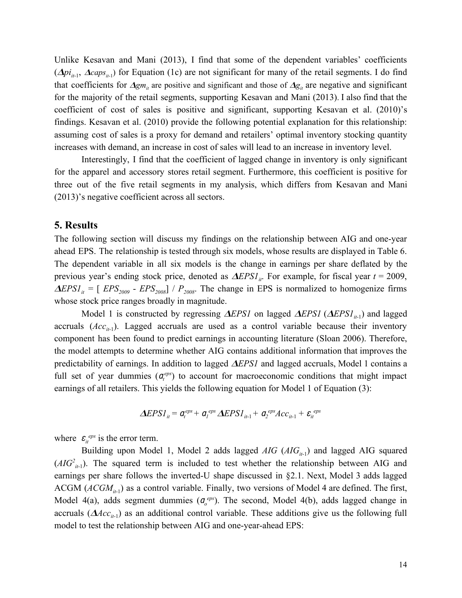Unlike Kesavan and Mani (2013), I find that some of the dependent variables' coefficients  $(\Delta p i_{i}$ ,  $(\Delta p i_{i+1}, \Delta cap s_{i+1})$  for Equation (1c) are not significant for many of the retail segments. I do find that coefficients for  $\Delta g_{m_i}$  are positive and significant and those of  $\Delta g_i$  are negative and significant for the majority of the retail segments, supporting Kesavan and Mani (2013). I also find that the coefficient of cost of sales is positive and significant, supporting Kesavan et al. (2010)'s findings. Kesavan et al. (2010) provide the following potential explanation for this relationship: assuming cost of sales is a proxy for demand and retailers' optimal inventory stocking quantity increases with demand, an increase in cost of sales will lead to an increase in inventory level.

Interestingly, I find that the coefficient of lagged change in inventory is only significant for the apparel and accessory stores retail segment. Furthermore, this coefficient is positive for three out of the five retail segments in my analysis, which differs from Kesavan and Mani (2013)'s negative coefficient across all sectors.

### **5. Results**

The following section will discuss my findings on the relationship between AIG and one-year ahead EPS. The relationship is tested through six models, whose results are displayed in Table 6. The dependent variable in all six models is the change in earnings per share deflated by the previous year's ending stock price, denoted as  $\Delta EPSI_{it}$ . For example, for fiscal year  $t = 2009$ ,  $\Delta EPSI_{it} = [EPS_{2009} - EPS_{2008}] / P_{2008}$ . The change in EPS is normalized to homogenize firms whose stock price ranges broadly in magnitude.

Model 1 is constructed by regressing  $\Delta EPSI$  on lagged  $\Delta EPSI$  ( $\Delta EPSI_{i_{t-1}}$ ) and lagged accruals  $(Acc_{i-1})$ . Lagged accruals are used as a control variable because their inventory component has been found to predict earnings in accounting literature (Sloan 2006). Therefore, the model attempts to determine whether AIG contains additional information that improves the predictability of earnings. In addition to lagged  $\Delta EPSI$  and lagged accruals, Model 1 contains a full set of year dummies  $(a_f^{eps})$  to account for macroeconomic conditions that might impact earnings of all retailers. This yields the following equation for Model 1 of Equation (3):

$$
\Delta EPSI_{it} = a_t^{eps} + a_t^{eps} \Delta EPSI_{it-1} + a_t^{eps} Acc_{it-1} + \varepsilon_{it}^{eps}
$$

where  $\varepsilon_{it}^{eps}$  is the error term.

Building upon Model 1, Model 2 adds lagged *AIG* (*AIG*<sub>*it*-1</sub>) and lagged AIG squared  $(ABC<sub>i+1</sub>)$ . The squared term is included to test whether the relationship between AIG and earnings per share follows the inverted-U shape discussed in §2.1. Next, Model 3 adds lagged ACGM  $(ACGM<sub>it-1</sub>)$  as a control variable. Finally, two versions of Model 4 are defined. The first, Model 4(a), adds segment dummies ( $\sigma_o^{eps}$ ). The second, Model 4(b), adds lagged change in accruals  $(AAcc_{it-1})$  as an additional control variable. These additions give us the following full model to test the relationship between AIG and one-year-ahead EPS: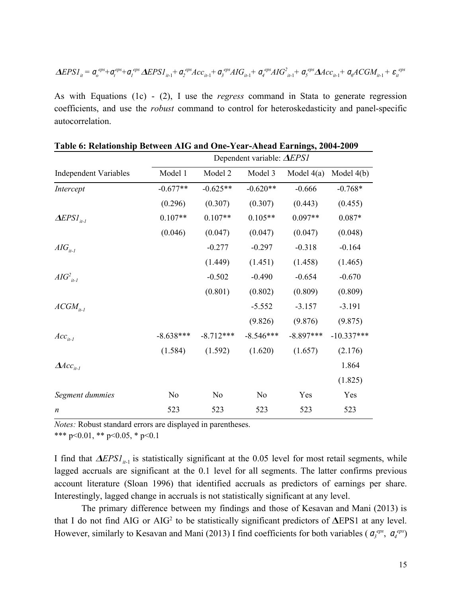$$
\Delta EPSI_{it} = \mathbf{q}_o^{eps} + \mathbf{q}_t^{eps} + \mathbf{q}_t^{eps} \Delta EPSI_{it-1} + \mathbf{q}_2^{eps} Acc_{it-1} + \mathbf{q}_3^{eps} AIG_{it-1} + \mathbf{q}_4^{eps} AIG_{it-1}^2 + \mathbf{q}_5^{eps} \Delta Acc_{it-1} + \mathbf{q}_6 ACGM_{it-1} + \mathbf{\varepsilon}_{it}^{eps}
$$

As with Equations (1c) - (2), I use the *regress* command in Stata to generate regression coefficients, and use the *robust* command to control for heteroskedasticity and panel-specific autocorrelation.

|                              |                | Dependent variable: $\triangle EPSI$ |             |              |              |  |  |  |  |
|------------------------------|----------------|--------------------------------------|-------------|--------------|--------------|--|--|--|--|
| <b>Independent Variables</b> | Model 1        | Model 2                              | Model 3     | Model $4(a)$ | Model $4(b)$ |  |  |  |  |
| Intercept                    | $-0.677**$     | $-0.625**$                           | $-0.620**$  | $-0.666$     | $-0.768*$    |  |  |  |  |
|                              | (0.296)        | (0.307)                              | (0.307)     | (0.443)      | (0.455)      |  |  |  |  |
| $\Delta EPSI_{it-l}$         | $0.107**$      | $0.107**$                            | $0.105**$   | $0.097**$    | $0.087*$     |  |  |  |  |
|                              | (0.046)        | (0.047)                              | (0.047)     | (0.047)      | (0.048)      |  |  |  |  |
| $AIG_{it-l}$                 |                | $-0.277$                             | $-0.297$    | $-0.318$     | $-0.164$     |  |  |  |  |
|                              |                | (1.449)                              | (1.451)     | (1.458)      | (1.465)      |  |  |  |  |
| $AIG_{it-l}^2$               |                | $-0.502$                             | $-0.490$    | $-0.654$     | $-0.670$     |  |  |  |  |
|                              |                | (0.801)                              | (0.802)     | (0.809)      | (0.809)      |  |  |  |  |
| $ACGM_{it-l}$                |                |                                      | $-5.552$    | $-3.157$     | $-3.191$     |  |  |  |  |
|                              |                |                                      | (9.826)     | (9.876)      | (9.875)      |  |  |  |  |
| $Acc_{it-l}$                 | $-8.638***$    | $-8.712***$                          | $-8.546***$ | $-8.897***$  | $-10.337***$ |  |  |  |  |
|                              | (1.584)        | (1.592)                              | (1.620)     | (1.657)      | (2.176)      |  |  |  |  |
| $\Delta Acc_{it-l}$          |                |                                      |             |              | 1.864        |  |  |  |  |
|                              |                |                                      |             |              | (1.825)      |  |  |  |  |
| Segment dummies              | N <sub>0</sub> | N <sub>0</sub>                       | No          | Yes          | Yes          |  |  |  |  |
| $\boldsymbol{n}$             | 523            | 523                                  | 523         | 523          | 523          |  |  |  |  |

|  |  |  |  |  |  | Table 6: Relationship Between AIG and One-Year-Ahead Earnings, 2004-2009 |  |
|--|--|--|--|--|--|--------------------------------------------------------------------------|--|
|  |  |  |  |  |  |                                                                          |  |

*Notes:* Robust standard errors are displayed in parentheses.

\*\*\* p<0.01, \*\* p<0.05, \* p<0.1

I find that  $\Delta EPSI_{i+1}$  is statistically significant at the 0.05 level for most retail segments, while lagged accruals are significant at the 0.1 level for all segments. The latter confirms previous account literature (Sloan 1996) that identified accruals as predictors of earnings per share. Interestingly, lagged change in accruals is not statistically significant at any level.

The primary difference between my findings and those of Kesavan and Mani (2013) is that I do not find AIG or AIG<sup>2</sup> to be statistically significant predictors of  $\Delta$ EPS1 at any level. However, similarly to Kesavan and Mani (2013) I find coefficients for both variables ( $q_g^{eps}$ ,  $q_q^{eps}$ )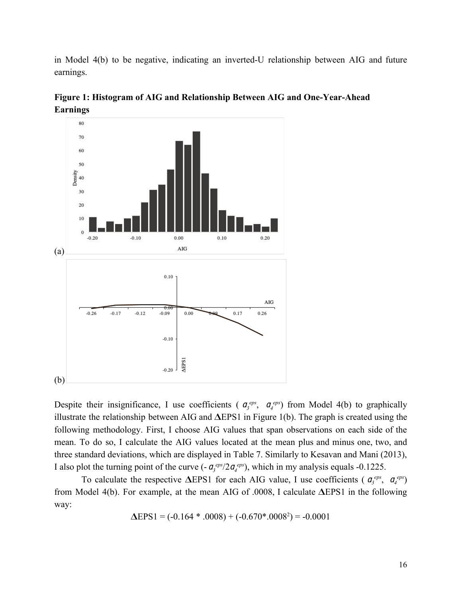in Model 4(b) to be negative, indicating an inverted-U relationship between AIG and future earnings.



**Figure 1: Histogram of AIG and Relationship Between AIG and One-Year-Ahead Earnings**

Despite their insignificance, I use coefficients ( $\sigma_3^{eps}$ ,  $\sigma_4^{eps}$ ) from Model 4(b) to graphically illustrate the relationship between AIG and  $\Delta$ EPS1 in Figure 1(b). The graph is created using the following methodology. First, I choose AIG values that span observations on each side of the mean. To do so, I calculate the AIG values located at the mean plus and minus one, two, and three standard deviations, which are displayed in Table 7. Similarly to Kesavan and Mani (2013), I also plot the turning point of the curve  $(-a_3^{eps}/2a_4^{eps})$ , which in my analysis equals -0.1225.

To calculate the respective  $\triangle$ EPS1 for each AIG value, I use coefficients ( $\sigma_3^{eps}$ ,  $\sigma_4^{eps}$ ) from Model 4(b). For example, at the mean AIG of .0008, I calculate  $\Delta$ EPS1 in the following way:

$$
\Delta EPS1 = (-0.164 * .0008) + (-0.670 * .0008^2) = -0.0001
$$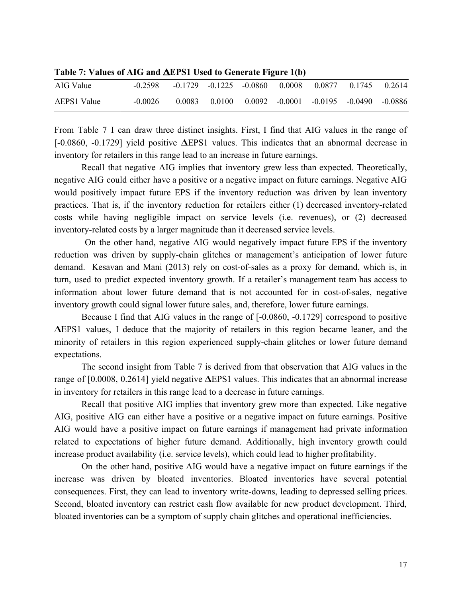| AIG Value           | $-0.2598$ |        | $-0.1729$ $-0.1225$ $-0.0860$ $0.0008$ |  | 0.0877 0.1745                                             | 0.2614 |
|---------------------|-----------|--------|----------------------------------------|--|-----------------------------------------------------------|--------|
| $\Delta$ EPS1 Value | $-0.0026$ | 0.0083 |                                        |  | $0.0100$ $0.0092$ $-0.0001$ $-0.0195$ $-0.0490$ $-0.0886$ |        |

**Table 7: Values of AIG and EPS1 Used to Generate Figure 1(b)**

From Table 7 I can draw three distinct insights. First, I find that AIG values in the range of  $[-0.0860, -0.1729]$  yield positive  $\Delta$ EPS1 values. This indicates that an abnormal decrease in inventory for retailers in this range lead to an increase in future earnings.

Recall that negative AIG implies that inventory grew less than expected. Theoretically, negative AIG could either have a positive or a negative impact on future earnings. Negative AIG would positively impact future EPS if the inventory reduction was driven by lean inventory practices. That is, if the inventory reduction for retailers either (1) decreased inventory-related costs while having negligible impact on service levels (i.e. revenues), or (2) decreased inventory-related costs by a larger magnitude than it decreased service levels.

On the other hand, negative AIG would negatively impact future EPS if the inventory reduction was driven by supply-chain glitches or management's anticipation of lower future demand. Kesavan and Mani (2013) rely on cost-of-sales as a proxy for demand, which is, in turn, used to predict expected inventory growth. If a retailer's management team has access to information about lower future demand that is not accounted for in cost-of-sales, negative inventory growth could signal lower future sales, and, therefore, lower future earnings.

Because I find that AIG values in the range of [-0.0860, -0.1729] correspond to positive EPS1 values, I deduce that the majority of retailers in this region became leaner, and the minority of retailers in this region experienced supply-chain glitches or lower future demand expectations.

The second insight from Table 7 is derived from that observation that AIG values in the range of  $[0.0008, 0.2614]$  yield negative  $\Delta$ EPS1 values. This indicates that an abnormal increase in inventory for retailers in this range lead to a decrease in future earnings.

Recall that positive AIG implies that inventory grew more than expected. Like negative AIG, positive AIG can either have a positive or a negative impact on future earnings. Positive AIG would have a positive impact on future earnings if management had private information related to expectations of higher future demand. Additionally, high inventory growth could increase product availability (i.e. service levels), which could lead to higher profitability.

On the other hand, positive AIG would have a negative impact on future earnings if the increase was driven by bloated inventories. Bloated inventories have several potential consequences. First, they can lead to inventory write-downs, leading to depressed selling prices. Second, bloated inventory can restrict cash flow available for new product development. Third, bloated inventories can be a symptom of supply chain glitches and operational inefficiencies.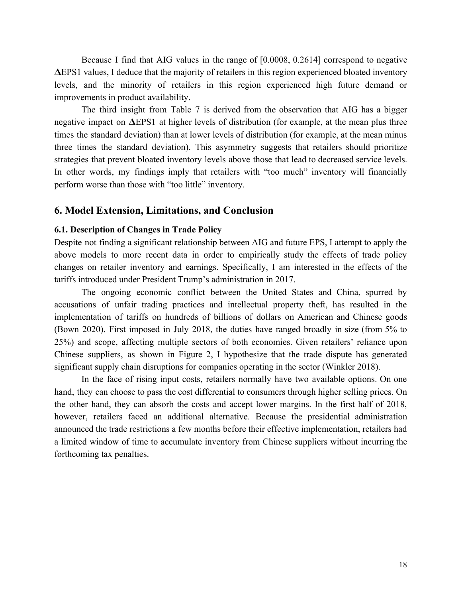Because I find that AIG values in the range of [0.0008, 0.2614] correspond to negative EPS1 values, I deduce that the majority of retailers in this region experienced bloated inventory levels, and the minority of retailers in this region experienced high future demand or improvements in product availability.

The third insight from Table 7 is derived from the observation that AIG has a bigger negative impact on  $\Delta$ EPS1 at higher levels of distribution (for example, at the mean plus three times the standard deviation) than at lower levels of distribution (for example, at the mean minus three times the standard deviation). This asymmetry suggests that retailers should prioritize strategies that prevent bloated inventory levels above those that lead to decreased service levels. In other words, my findings imply that retailers with "too much" inventory will financially perform worse than those with "too little" inventory.

## **6. Model Extension, Limitations, and Conclusion**

#### **6.1. Description of Changes in Trade Policy**

Despite not finding a significant relationship between AIG and future EPS, I attempt to apply the above models to more recent data in order to empirically study the effects of trade policy changes on retailer inventory and earnings. Specifically, I am interested in the effects of the tariffs introduced under President Trump's administration in 2017.

The ongoing economic conflict between the United States and China, spurred by accusations of unfair trading practices and intellectual property theft, has resulted in the implementation of tariffs on hundreds of billions of dollars on American and Chinese goods (Bown 2020). First imposed in July 2018, the duties have ranged broadly in size (from 5% to 25%) and scope, affecting multiple sectors of both economies. Given retailers' reliance upon Chinese suppliers, as shown in Figure 2, I hypothesize that the trade dispute has generated significant supply chain disruptions for companies operating in the sector (Winkler 2018).

In the face of rising input costs, retailers normally have two available options. On one hand, they can choose to pass the cost differential to consumers through higher selling prices. On the other hand, they can absorb the costs and accept lower margins. In the first half of 2018, however, retailers faced an additional alternative. Because the presidential administration announced the trade restrictions a few months before their effective implementation, retailers had a limited window of time to accumulate inventory from Chinese suppliers without incurring the forthcoming tax penalties.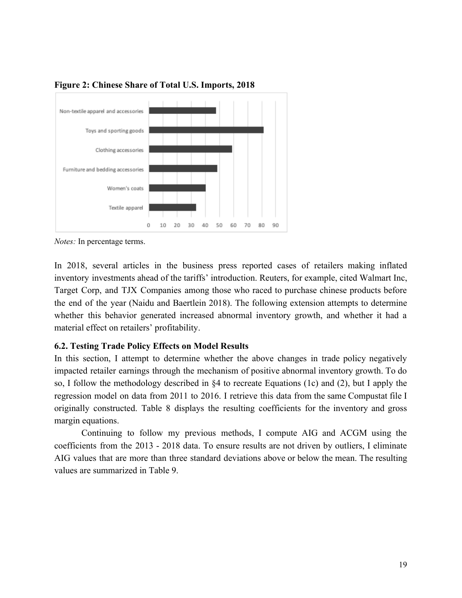

**Figure 2: Chinese Share of Total U.S. Imports, 2018**

*Notes:* In percentage terms.

In 2018, several articles in the business press reported cases of retailers making inflated inventory investments ahead of the tariffs' introduction. Reuters, for example, cited Walmart Inc, Target Corp, and TJX Companies among those who raced to purchase chinese products before the end of the year (Naidu and Baertlein 2018). The following extension attempts to determine whether this behavior generated increased abnormal inventory growth, and whether it had a material effect on retailers' profitability.

# **6.2. Testing Trade Policy Effects on Model Results**

In this section, I attempt to determine whether the above changes in trade policy negatively impacted retailer earnings through the mechanism of positive abnormal inventory growth. To do so, I follow the methodology described in §4 to recreate Equations (1c) and (2), but I apply the regression model on data from 2011 to 2016. I retrieve this data from the same Compustat file I originally constructed. Table 8 displays the resulting coefficients for the inventory and gross margin equations.

Continuing to follow my previous methods, I compute AIG and ACGM using the coefficients from the 2013 - 2018 data. To ensure results are not driven by outliers, I eliminate AIG values that are more than three standard deviations above or below the mean. The resulting values are summarized in Table 9.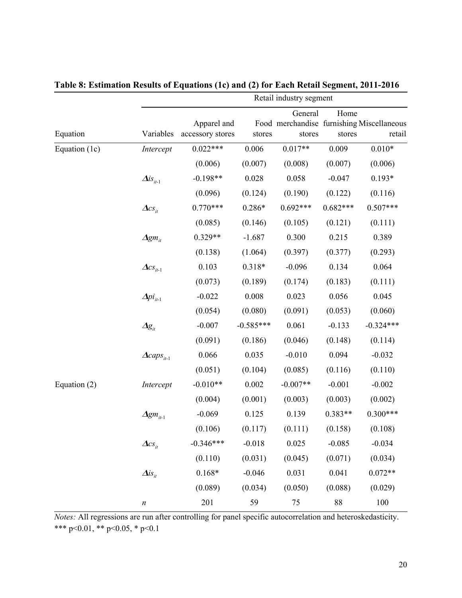|                |                                                          |                                 |             | Retail industry segment | Home<br>Food merchandise furnishing Miscellaneous<br>retail<br>stores |             |  |  |  |  |  |  |
|----------------|----------------------------------------------------------|---------------------------------|-------------|-------------------------|-----------------------------------------------------------------------|-------------|--|--|--|--|--|--|
| Equation       | Variables                                                | Apparel and<br>accessory stores | stores      | General<br>stores       |                                                                       |             |  |  |  |  |  |  |
| Equation (1c)  | Intercept                                                | $0.022***$                      | 0.006       | $0.017**$               | 0.009                                                                 | $0.010*$    |  |  |  |  |  |  |
|                |                                                          | (0.006)                         | (0.007)     | (0.008)                 | (0.007)                                                               | (0.006)     |  |  |  |  |  |  |
|                | $\Delta is_{it-1}$                                       | $-0.198**$                      | 0.028       | 0.058                   | $-0.047$                                                              | $0.193*$    |  |  |  |  |  |  |
|                |                                                          | (0.096)                         | (0.124)     | (0.190)                 | (0.122)                                                               | (0.116)     |  |  |  |  |  |  |
|                | $\boldsymbol{\Delta} \boldsymbol{c} \boldsymbol{s}_{it}$ | $0.770***$                      | $0.286*$    | $0.692***$              | $0.682***$                                                            | $0.507***$  |  |  |  |  |  |  |
|                |                                                          | (0.085)                         | (0.146)     | (0.105)                 | (0.121)                                                               | (0.111)     |  |  |  |  |  |  |
|                | $\Delta g m_{it}$                                        | $0.329**$                       | $-1.687$    | 0.300                   | 0.215                                                                 | 0.389       |  |  |  |  |  |  |
|                |                                                          | (0.138)                         | (1.064)     | (0.397)                 | (0.377)                                                               | (0.293)     |  |  |  |  |  |  |
|                | $\pmb{\Delta} {\mathcal{CS}}_{it\text{-}1}$              | 0.103                           | $0.318*$    | $-0.096$                | 0.134                                                                 | 0.064       |  |  |  |  |  |  |
|                |                                                          | (0.073)                         | (0.189)     | (0.174)                 | (0.183)                                                               | (0.111)     |  |  |  |  |  |  |
|                | $\Delta p i_{i+1}$                                       | $-0.022$                        | 0.008       | 0.023                   | 0.056                                                                 | 0.045       |  |  |  |  |  |  |
|                |                                                          | (0.054)                         | (0.080)     | (0.091)                 | (0.053)                                                               | (0.060)     |  |  |  |  |  |  |
|                | $\varDelta\!g_{_{it}}$                                   | $-0.007$                        | $-0.585***$ | 0.061                   | $-0.133$                                                              | $-0.324***$ |  |  |  |  |  |  |
|                |                                                          | (0.091)                         | (0.186)     | (0.046)                 | (0.148)                                                               | (0.114)     |  |  |  |  |  |  |
|                | $\triangle \textit{caps}_{it-1}$                         | 0.066                           | 0.035       | $-0.010$                | 0.094                                                                 | $-0.032$    |  |  |  |  |  |  |
|                |                                                          | (0.051)                         | (0.104)     | (0.085)                 | (0.116)                                                               | (0.110)     |  |  |  |  |  |  |
| Equation $(2)$ | Intercept                                                | $-0.010**$                      | 0.002       | $-0.007**$              | $-0.001$                                                              | $-0.002$    |  |  |  |  |  |  |
|                |                                                          | (0.004)                         | (0.001)     | (0.003)                 | (0.003)                                                               | (0.002)     |  |  |  |  |  |  |
|                | $\Delta gm_{it-1}$                                       | $-0.069$                        | 0.125       | 0.139                   | $0.383**$                                                             | $0.300***$  |  |  |  |  |  |  |
|                |                                                          | (0.106)                         | (0.117)     | (0.111)                 | (0.158)                                                               | (0.108)     |  |  |  |  |  |  |
|                | $\Delta cs_{it}$                                         | $-0.346***$                     | $-0.018$    | 0.025                   | $-0.085$                                                              | $-0.034$    |  |  |  |  |  |  |
|                |                                                          | (0.110)                         | (0.031)     | (0.045)                 | (0.071)                                                               | (0.034)     |  |  |  |  |  |  |
|                | $\Delta$ is <sub>it</sub>                                | $0.168*$                        | $-0.046$    | 0.031                   | 0.041                                                                 | $0.072**$   |  |  |  |  |  |  |
|                |                                                          | (0.089)                         | (0.034)     | (0.050)                 | (0.088)                                                               | (0.029)     |  |  |  |  |  |  |
|                | $\boldsymbol{n}$                                         | 201                             | 59          | 75                      | 88                                                                    | 100         |  |  |  |  |  |  |

**Table 8: Estimation Results of Equations (1c) and (2) for Each Retail Segment, 2011-2016**

*Notes:* All regressions are run after controlling for panel specific autocorrelation and heteroskedasticity. \*\*\* p<0.01, \*\* p<0.05, \* p<0.1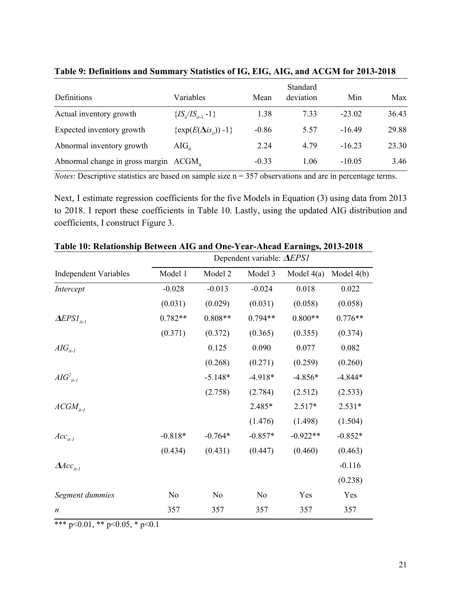| Definitions                                       | Variables                        | Mean    | Standard<br>deviation | Min      | Max   |
|---------------------------------------------------|----------------------------------|---------|-----------------------|----------|-------|
| Actual inventory growth                           | $\{IS_i/IS_{i+1}-1\}$            | 1.38    | 7.33                  | $-23.02$ | 36.43 |
| Expected inventory growth                         | $\{\exp(E(\Delta is_{it})) -1\}$ | $-0.86$ | 5.57                  | $-16.49$ | 29.88 |
| Abnormal inventory growth                         | $AIG_{it}$                       | 2.24    | 4.79                  | $-16.23$ | 23.30 |
| Abnormal change in gross margin $ACGM_{\text{H}}$ |                                  | $-0.33$ | 1.06                  | $-10.05$ | 3.46  |

**Table 9: Definitions and Summary Statistics of IG, EIG, AIG, and ACGM for 2013-2018**

*Notes*: Descriptive statistics are based on sample size n = 357 observations and are in percentage terms.

Next, I estimate regression coefficients for the five Models in Equation (3) using data from 2013 to 2018. I report these coefficients in Table 10. Lastly, using the updated AIG distribution and coefficients, I construct Figure 3.

|                              |                |                |                | Dependent variable: $\triangle EPSI$ |              |  |  |  |  |  |
|------------------------------|----------------|----------------|----------------|--------------------------------------|--------------|--|--|--|--|--|
| <b>Independent Variables</b> | Model 1        | Model 2        | Model 3        | Model $4(a)$                         | Model $4(b)$ |  |  |  |  |  |
| Intercept                    | $-0.028$       | $-0.013$       | $-0.024$       | 0.018                                | 0.022        |  |  |  |  |  |
|                              | (0.031)        | (0.029)        | (0.031)        | (0.058)                              | (0.058)      |  |  |  |  |  |
| $\Delta EPSI_{it-l}$         | $0.782**$      | $0.808**$      | $0.794**$      | $0.800**$                            | $0.776**$    |  |  |  |  |  |
|                              | (0.371)        | (0.372)        | (0.365)        | (0.355)                              | (0.374)      |  |  |  |  |  |
| $AIG_{it-1}$                 |                | 0.125          | 0.090          | 0.077                                | 0.082        |  |  |  |  |  |
|                              |                | (0.268)        | (0.271)        | (0.259)                              | (0.260)      |  |  |  |  |  |
| $AIG2it-1$                   |                | $-5.148*$      | $-4.918*$      | $-4.856*$                            | $-4.844*$    |  |  |  |  |  |
|                              |                | (2.758)        | (2.784)        | (2.512)                              | (2.533)      |  |  |  |  |  |
| $ACGM_{it-l}$                |                |                | 2.485*         | $2.517*$                             | $2.531*$     |  |  |  |  |  |
|                              |                |                | (1.476)        | (1.498)                              | (1.504)      |  |  |  |  |  |
| $Acc_{it-l}$                 | $-0.818*$      | $-0.764*$      | $-0.857*$      | $-0.922**$                           | $-0.852*$    |  |  |  |  |  |
|                              | (0.434)        | (0.431)        | (0.447)        | (0.460)                              | (0.463)      |  |  |  |  |  |
| $\Delta Acc_{it-l}$          |                |                |                |                                      | $-0.116$     |  |  |  |  |  |
|                              |                |                |                |                                      | (0.238)      |  |  |  |  |  |
| Segment dummies              | N <sub>0</sub> | N <sub>0</sub> | N <sub>0</sub> | Yes                                  | Yes          |  |  |  |  |  |
| $\boldsymbol{n}$             | 357            | 357            | 357            | 357                                  | 357          |  |  |  |  |  |

**Table 10: Relationship Between AIG and One-Year-Ahead Earnings, 2013-2018**

\*\*\* p<0.01, \*\* p<0.05, \* p<0.1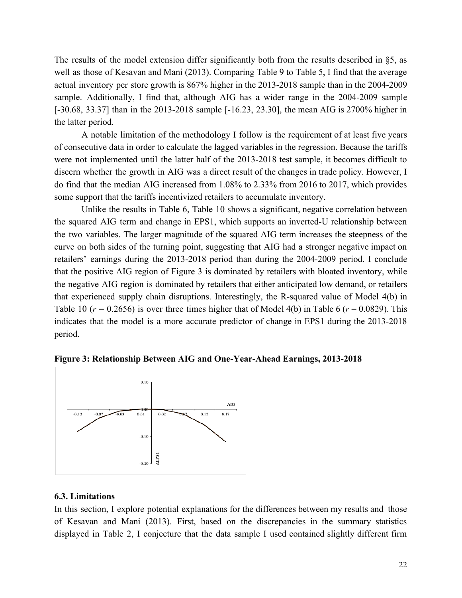The results of the model extension differ significantly both from the results described in §5, as well as those of Kesavan and Mani (2013). Comparing Table 9 to Table 5, I find that the average actual inventory per store growth is 867% higher in the 2013-2018 sample than in the 2004-2009 sample. Additionally, I find that, although AIG has a wider range in the 2004-2009 sample [-30.68, 33.37] than in the 2013-2018 sample [-16.23, 23.30], the mean AIG is 2700% higher in the latter period.

A notable limitation of the methodology I follow is the requirement of at least five years of consecutive data in order to calculate the lagged variables in the regression. Because the tariffs were not implemented until the latter half of the 2013-2018 test sample, it becomes difficult to discern whether the growth in AIG was a direct result of the changes in trade policy. However, I do find that the median AIG increased from 1.08% to 2.33% from 2016 to 2017, which provides some support that the tariffs incentivized retailers to accumulate inventory.

Unlike the results in Table 6, Table 10 shows a significant, negative correlation between the squared AIG term and change in EPS1, which supports an inverted-U relationship between the two variables. The larger magnitude of the squared AIG term increases the steepness of the curve on both sides of the turning point, suggesting that AIG had a stronger negative impact on retailers' earnings during the 2013-2018 period than during the 2004-2009 period. I conclude that the positive AIG region of Figure 3 is dominated by retailers with bloated inventory, while the negative AIG region is dominated by retailers that either anticipated low demand, or retailers that experienced supply chain disruptions. Interestingly, the R-squared value of Model 4(b) in Table 10 ( $r = 0.2656$ ) is over three times higher that of Model 4(b) in Table 6 ( $r = 0.0829$ ). This indicates that the model is a more accurate predictor of change in EPS1 during the 2013-2018 period.



**Figure 3: Relationship Between AIG and One-Year-Ahead Earnings, 2013-2018**

#### **6.3. Limitations**

In this section, I explore potential explanations for the differences between my results and those of Kesavan and Mani (2013). First, based on the discrepancies in the summary statistics displayed in Table 2, I conjecture that the data sample I used contained slightly different firm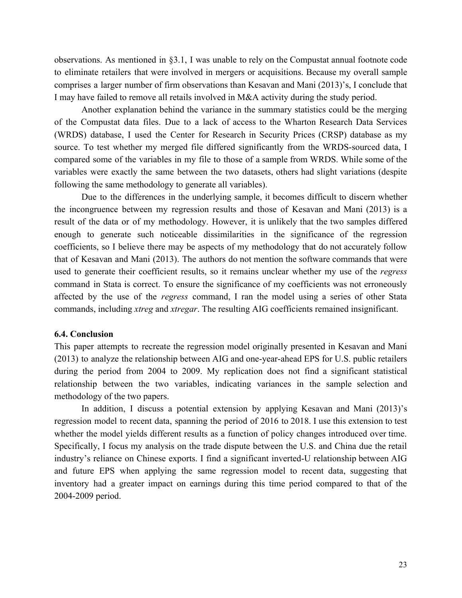observations. As mentioned in §3.1, I was unable to rely on the Compustat annual footnote code to eliminate retailers that were involved in mergers or acquisitions. Because my overall sample comprises a larger number of firm observations than Kesavan and Mani (2013)'s, I conclude that I may have failed to remove all retails involved in M&A activity during the study period.

Another explanation behind the variance in the summary statistics could be the merging of the Compustat data files. Due to a lack of access to the Wharton Research Data Services (WRDS) database, I used the Center for Research in Security Prices (CRSP) database as my source. To test whether my merged file differed significantly from the WRDS-sourced data, I compared some of the variables in my file to those of a sample from WRDS. While some of the variables were exactly the same between the two datasets, others had slight variations (despite following the same methodology to generate all variables).

Due to the differences in the underlying sample, it becomes difficult to discern whether the incongruence between my regression results and those of Kesavan and Mani (2013) is a result of the data or of my methodology. However, it is unlikely that the two samples differed enough to generate such noticeable dissimilarities in the significance of the regression coefficients, so I believe there may be aspects of my methodology that do not accurately follow that of Kesavan and Mani (2013). The authors do not mention the software commands that were used to generate their coefficient results, so it remains unclear whether my use of the *regress* command in Stata is correct. To ensure the significance of my coefficients was not erroneously affected by the use of the *regress* command, I ran the model using a series of other Stata commands, including *xtreg* and *xtregar*. The resulting AIG coefficients remained insignificant.

#### **6.4. Conclusion**

This paper attempts to recreate the regression model originally presented in Kesavan and Mani (2013) to analyze the relationship between AIG and one-year-ahead EPS for U.S. public retailers during the period from 2004 to 2009. My replication does not find a significant statistical relationship between the two variables, indicating variances in the sample selection and methodology of the two papers.

In addition, I discuss a potential extension by applying Kesavan and Mani (2013)'s regression model to recent data, spanning the period of 2016 to 2018. I use this extension to test whether the model yields different results as a function of policy changes introduced over time. Specifically, I focus my analysis on the trade dispute between the U.S. and China due the retail industry's reliance on Chinese exports. I find a significant inverted-U relationship between AIG and future EPS when applying the same regression model to recent data, suggesting that inventory had a greater impact on earnings during this time period compared to that of the 2004-2009 period.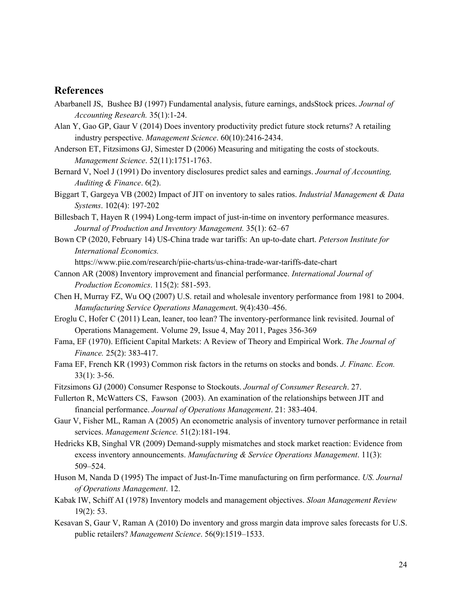# **References**

- Abarbanell JS, Bushee BJ (1997) [Fundamental](https://www-jstor-org.ezproxy.uvm.edu/stable/2491464?sid=primo&origin=crossref&seq=2#metadata_info_tab_contents) analysis, future earnings, andsStock prices. *[Journal](https://www-jstor-org.ezproxy.uvm.edu/stable/2491464?sid=primo&origin=crossref&seq=2#metadata_info_tab_contents) of [Accounting](https://www-jstor-org.ezproxy.uvm.edu/stable/2491464?sid=primo&origin=crossref&seq=2#metadata_info_tab_contents) Research.* [35\(1\):1-24.](https://www-jstor-org.ezproxy.uvm.edu/stable/2491464?sid=primo&origin=crossref&seq=2#metadata_info_tab_contents)
- Alan Y, Gao GP, Gaur V (2014) Does inventory [productivity](https://pubsonline.informs.org/doi/abs/10.1287/mnsc.2014.1897) predict future stock returns? A retailing industry [perspective.](https://pubsonline.informs.org/doi/abs/10.1287/mnsc.2014.1897) *[Management](https://pubsonline.informs.org/doi/abs/10.1287/mnsc.2014.1897) Science*. [60\(10\):2416-2434.](https://pubsonline.informs.org/doi/abs/10.1287/mnsc.2014.1897)
- Anderson ET, [Fitzsimons](https://pubsonline.informs.org/doi/pdf/10.1287/mnsc.1060.0577) GJ, Simester D (2006) Measuring and mitigating the costs of stockouts. *[Management](https://pubsonline.informs.org/doi/pdf/10.1287/mnsc.1060.0577) Science*. [52\(11\):1751-1763.](https://pubsonline.informs.org/doi/pdf/10.1287/mnsc.1060.0577)
- Bernard V, Noel J (1991) Do inventory [disclosures](https://journals-sagepub-com.ezproxy.uvm.edu/doi/pdf/10.1177/0148558X9100600202) predict sales and earnings. *Journal of [Accounting,](https://journals-sagepub-com.ezproxy.uvm.edu/doi/pdf/10.1177/0148558X9100600202) [Auditing](https://journals-sagepub-com.ezproxy.uvm.edu/doi/pdf/10.1177/0148558X9100600202) & Finance*[.](https://journals-sagepub-com.ezproxy.uvm.edu/doi/pdf/10.1177/0148558X9100600202) 6(2).
- Biggart T, Gargeya VB (2002) Impact of JIT on [inventory](https://libres.uncg.edu/ir/uncg/f/V_Gargeya_Impact_2002.pdf) to sales ratios. *Industrial [Management](https://libres.uncg.edu/ir/uncg/f/V_Gargeya_Impact_2002.pdf) & Data [Systems](https://libres.uncg.edu/ir/uncg/f/V_Gargeya_Impact_2002.pdf)*. 102(4): [197-202](https://libres.uncg.edu/ir/uncg/f/V_Gargeya_Impact_2002.pdf)
- Billesbach T, Hayen R (1994) Long-term impact of just-in-time on inventory [performance](https://search.proquest.com/docview/199875958/fulltextPDF/11AC15E1BEED41EFPQ/1?accountid=14679) measures. *Journal of Production and Inventory [Management.](https://search.proquest.com/docview/199875958/fulltextPDF/11AC15E1BEED41EFPQ/1?accountid=14679)* 35(1): [62–67](https://search.proquest.com/docview/199875958/fulltextPDF/11AC15E1BEED41EFPQ/1?accountid=14679)
- Bown CP (2020, February 14) US-China trade war tariffs: An up-to-date chart. *Peterson Institute for International Economics.*

<https://www.piie.com/research/piie-charts/us-china-trade-war-tariffs-date-chart>

- Cannon AR (2008) Inventory [improvement](https://reader.elsevier.com/reader/sd/pii/S092552730800220X?token=4B6A8A2155E41325553839E7C8849C2E8DEDC05567BAF2C5FF4092685A2224D94765F7F532BD053E9E0F8AC1380E7E43) and financial performance. *[International](https://www.sciencedirect.com/science/journal/09255273) Journal of [Production](https://www.sciencedirect.com/science/journal/09255273) Economics*. [115\(2](https://www.sciencedirect.com/science/journal/09255273/115/2)): 581-593.
- Chen H, Murray FZ, Wu OQ (2007) U.S. retail and wholesale inventory performance from 1981 to 2004. *Manufacturing Service Operations Managemen*t. 9(4):430–456.
- Eroglu C, Hofer C (2011) Lean, leaner, too lean? The [inventory-performance](https://www.sciencedirect.com/science/article/pii/S0272696310000367#bib10) link revisited. [Journal](https://www.sciencedirect.com/science/journal/02726963) of Operations [Management](https://www.sciencedirect.com/science/journal/02726963). [Volume](https://www.sciencedirect.com/science/journal/02726963/29/4) 29, Issue 4, May 2011, Pages 356-369
- Fama, EF (1970). Efficient Capital Markets: A Review of Theory and [Empirical](https://www-jstor-org.ezproxy.uvm.edu/stable/2325486?seq=1#metadata_info_tab_contents) Work. *The [Journal](https://www-jstor-org.ezproxy.uvm.edu/stable/2325486?seq=1#metadata_info_tab_contents) of [Finance.](https://www-jstor-org.ezproxy.uvm.edu/stable/2325486?seq=1#metadata_info_tab_contents)* 25(2): [383-417.](https://www-jstor-org.ezproxy.uvm.edu/stable/2325486?seq=1#metadata_info_tab_contents)
- Fama EF, French KR (1993) [Common](https://onlinelibrary.wiley.com/doi/10.1111/j.1540-6261.2008.01371.x) risk factors in the returns on stocks and bonds. *J. [Financ.](https://onlinelibrary.wiley.com/doi/10.1111/j.1540-6261.2008.01371.x) Econ.* [33\(1\):](https://onlinelibrary.wiley.com/doi/10.1111/j.1540-6261.2008.01371.x) 3-56.
- [Fitzsimons](https://faculty.fuqua.duke.edu/~gavan/bio/GJF_articles/stockouts_jcr_00.pdf) GJ (2000) Consumer Response to Stockouts. *Journal of [Consumer](https://faculty.fuqua.duke.edu/~gavan/bio/GJF_articles/stockouts_jcr_00.pdf) Research*. 27.
- Fullerton R, McWatters CS, Fawson (2003). An examination of the [relationships](https://www.researchgate.net/publication/222351409_An_Examination_of_the_Relationships_Between_JIT_and_Financial_Performance) between JIT and financial [performance.](https://www.researchgate.net/publication/222351409_An_Examination_of_the_Relationships_Between_JIT_and_Financial_Performance) *Journal of Operations [Management](https://www.researchgate.net/publication/222351409_An_Examination_of_the_Relationships_Between_JIT_and_Financial_Performance)*. 21: [383-404.](https://www.researchgate.net/publication/222351409_An_Examination_of_the_Relationships_Between_JIT_and_Financial_Performance)
- Gaur V, Fisher ML, Raman A (2005) An econometric analysis of inventory turnover [performance](https://www-jstor-org.ezproxy.uvm.edu/stable/20110318?seq=13#metadata_info_tab_contents) in retail [services.](https://www-jstor-org.ezproxy.uvm.edu/stable/20110318?seq=13#metadata_info_tab_contents) *[Management](https://www-jstor-org.ezproxy.uvm.edu/stable/20110318?seq=13#metadata_info_tab_contents) Science.* [51\(2\):181-194.](https://www-jstor-org.ezproxy.uvm.edu/stable/20110318?seq=13#metadata_info_tab_contents)
- Hedricks KB, Singhal VR (2009) [Demand-supply](https://pdfs.semanticscholar.org/1d75/34c5b11c62c640009e7de4d9ede97086ec9d.pdf) mismatches and stock market reaction: Evidence from excess inventory [announcements.](https://pdfs.semanticscholar.org/1d75/34c5b11c62c640009e7de4d9ede97086ec9d.pdf) *[Manufacturing](https://pdfs.semanticscholar.org/1d75/34c5b11c62c640009e7de4d9ede97086ec9d.pdf) & Service Operations Management*. [11\(3\):](https://pdfs.semanticscholar.org/1d75/34c5b11c62c640009e7de4d9ede97086ec9d.pdf) [509–524.](https://pdfs.semanticscholar.org/1d75/34c5b11c62c640009e7de4d9ede97086ec9d.pdf)
- Huson M, Nanda D (1995) The impact of Just-In-Time [manufacturing](https://pdf.sciencedirectassets.com/271694/1-s2.0-S0272696300X00071/1-s2.0-027269639500011G/main.pdf?X-Amz-Security-Token=AgoJb3JpZ2luX2VjEKz%2F%2F%2F%2F%2F%2F%2F%2F%2F%2FwEaCXVzLWVhc3QtMSJGMEQCIE5mvO46AieIgYwuTWJecSEc3ESUhgsrLC8lejHun0QWAiB%2BQrV3Olxy48nthT8SIXv0Jc94F9b1%2FNp%2FQpSc5UsYxCraAwh1EAIaDDA1OTAwMzU0Njg2NSIMRi6lh%2BP0WtSuIronKrcDlCjmXnAQIMH4aS9x3ntt3qfA4dxhpXVRmXcjiMTZjWlsntmeNsGm511My%2FmR9V%2Bc0z1AtwflkLkAKxmIuNfD41itZ%2FghzeMquld9QL3av3fEK9M6Kvgm85K5d0sMg%2BZa6OFOlBBouzYQHzTwL9f1n0pmgSQWYihr%2F50AuZdrOSen6e6mhQQ3%2BC4rzBGx4yNTNj%2FOBURl68jFaamTqd7wQVtfZXNQrtk7OaATHs%2BnxEPTfvv8ClRFl7WB3ZlYNXAcPIm57X2bB3Ecel%2BUoxzSysDdakua4%2BiZFXaP2p8UReyBpEXMJ8cv7RXBrEx3xk4F2sdOk3tkt3g%2BtigvCDfBz1n5BWaPx5Q%2B3ES%2Bt0OG4ehNJZiulwVwiIxV0mZSRoMSd4BMOxZWpYTHLlj1wRfRUOJYeCUe8ffZ6a5sX%2FtIczqVEABiF1hOr7j%2FjX8KCJB3gB2k1lKGw%2F3CiNeZTdkez4Q1ZlfYrX%2BKXhpZJhcxTbs%2FKf4pao6t%2B2vyDnAFp8EEjgJXik%2Ft%2FENLb1JcCZJjz0BkoyGjq2gz7Op9Ddckm%2BIWPimjZGjZA8dq5fhMuXvchcy2Cptt7TDrjYPsBTq1ARq9CI9KOi0qXSuC1gl%2By59TNPpZMlBo%2Ba7s2OSUIy3V9I7C7Aa7WELRuTFNTns9ek1YWNfnQrdpLgIf3WXxfjYkdEQTgPyKcAkpWq1CRQNsO6z%2FMFHQnDJYKwLxUui5Xz9G9Z9z6IUlPQNFx3vTlS%2B80k1E%2FkS5pP1ryghnwlg6fPLm3RIkiM6YJMYB8MbiiqOUccBr%2FMGHZq6NZKaVQimQgjYNzX1LC2agIrjqDhFM8g3rpNo%3D&X-Amz-Algorithm=AWS4-HMAC-SHA256&X-Amz-Date=20190917T125850Z&X-Amz-SignedHeaders=host&X-Amz-Expires=300&X-Amz-Credential=ASIAQ3PHCVTYXJGQ7TVP%2F20190917%2Fus-east-1%2Fs3%2Faws4_request&X-Amz-Signature=dad6e9d3247487db5c6cf68183104f44ec7a95925a2c04e2ffc247b3d2f58fac&hash=fe41d7b1ba01961641c75ad1d7ab6005c8d50b3bd1683efe766a48429aaea45d&host=68042c943591013ac2b2430a89b270f6af2c76d8dfd086a07176afe7c76c2c61&pii=027269639500011G&tid=spdf-f8ea2123-719d-4a7d-bd9a-a7ad137dcbda&sid=a81c7a88296e964e2a98bf589885258765edgxrqa&type=client) on firm performance. *US. [Journal](https://pdf.sciencedirectassets.com/271694/1-s2.0-S0272696300X00071/1-s2.0-027269639500011G/main.pdf?X-Amz-Security-Token=AgoJb3JpZ2luX2VjEKz%2F%2F%2F%2F%2F%2F%2F%2F%2F%2FwEaCXVzLWVhc3QtMSJGMEQCIE5mvO46AieIgYwuTWJecSEc3ESUhgsrLC8lejHun0QWAiB%2BQrV3Olxy48nthT8SIXv0Jc94F9b1%2FNp%2FQpSc5UsYxCraAwh1EAIaDDA1OTAwMzU0Njg2NSIMRi6lh%2BP0WtSuIronKrcDlCjmXnAQIMH4aS9x3ntt3qfA4dxhpXVRmXcjiMTZjWlsntmeNsGm511My%2FmR9V%2Bc0z1AtwflkLkAKxmIuNfD41itZ%2FghzeMquld9QL3av3fEK9M6Kvgm85K5d0sMg%2BZa6OFOlBBouzYQHzTwL9f1n0pmgSQWYihr%2F50AuZdrOSen6e6mhQQ3%2BC4rzBGx4yNTNj%2FOBURl68jFaamTqd7wQVtfZXNQrtk7OaATHs%2BnxEPTfvv8ClRFl7WB3ZlYNXAcPIm57X2bB3Ecel%2BUoxzSysDdakua4%2BiZFXaP2p8UReyBpEXMJ8cv7RXBrEx3xk4F2sdOk3tkt3g%2BtigvCDfBz1n5BWaPx5Q%2B3ES%2Bt0OG4ehNJZiulwVwiIxV0mZSRoMSd4BMOxZWpYTHLlj1wRfRUOJYeCUe8ffZ6a5sX%2FtIczqVEABiF1hOr7j%2FjX8KCJB3gB2k1lKGw%2F3CiNeZTdkez4Q1ZlfYrX%2BKXhpZJhcxTbs%2FKf4pao6t%2B2vyDnAFp8EEjgJXik%2Ft%2FENLb1JcCZJjz0BkoyGjq2gz7Op9Ddckm%2BIWPimjZGjZA8dq5fhMuXvchcy2Cptt7TDrjYPsBTq1ARq9CI9KOi0qXSuC1gl%2By59TNPpZMlBo%2Ba7s2OSUIy3V9I7C7Aa7WELRuTFNTns9ek1YWNfnQrdpLgIf3WXxfjYkdEQTgPyKcAkpWq1CRQNsO6z%2FMFHQnDJYKwLxUui5Xz9G9Z9z6IUlPQNFx3vTlS%2B80k1E%2FkS5pP1ryghnwlg6fPLm3RIkiM6YJMYB8MbiiqOUccBr%2FMGHZq6NZKaVQimQgjYNzX1LC2agIrjqDhFM8g3rpNo%3D&X-Amz-Algorithm=AWS4-HMAC-SHA256&X-Amz-Date=20190917T125850Z&X-Amz-SignedHeaders=host&X-Amz-Expires=300&X-Amz-Credential=ASIAQ3PHCVTYXJGQ7TVP%2F20190917%2Fus-east-1%2Fs3%2Faws4_request&X-Amz-Signature=dad6e9d3247487db5c6cf68183104f44ec7a95925a2c04e2ffc247b3d2f58fac&hash=fe41d7b1ba01961641c75ad1d7ab6005c8d50b3bd1683efe766a48429aaea45d&host=68042c943591013ac2b2430a89b270f6af2c76d8dfd086a07176afe7c76c2c61&pii=027269639500011G&tid=spdf-f8ea2123-719d-4a7d-bd9a-a7ad137dcbda&sid=a81c7a88296e964e2a98bf589885258765edgxrqa&type=client) of Operations [Management](https://pdf.sciencedirectassets.com/271694/1-s2.0-S0272696300X00071/1-s2.0-027269639500011G/main.pdf?X-Amz-Security-Token=AgoJb3JpZ2luX2VjEKz%2F%2F%2F%2F%2F%2F%2F%2F%2F%2FwEaCXVzLWVhc3QtMSJGMEQCIE5mvO46AieIgYwuTWJecSEc3ESUhgsrLC8lejHun0QWAiB%2BQrV3Olxy48nthT8SIXv0Jc94F9b1%2FNp%2FQpSc5UsYxCraAwh1EAIaDDA1OTAwMzU0Njg2NSIMRi6lh%2BP0WtSuIronKrcDlCjmXnAQIMH4aS9x3ntt3qfA4dxhpXVRmXcjiMTZjWlsntmeNsGm511My%2FmR9V%2Bc0z1AtwflkLkAKxmIuNfD41itZ%2FghzeMquld9QL3av3fEK9M6Kvgm85K5d0sMg%2BZa6OFOlBBouzYQHzTwL9f1n0pmgSQWYihr%2F50AuZdrOSen6e6mhQQ3%2BC4rzBGx4yNTNj%2FOBURl68jFaamTqd7wQVtfZXNQrtk7OaATHs%2BnxEPTfvv8ClRFl7WB3ZlYNXAcPIm57X2bB3Ecel%2BUoxzSysDdakua4%2BiZFXaP2p8UReyBpEXMJ8cv7RXBrEx3xk4F2sdOk3tkt3g%2BtigvCDfBz1n5BWaPx5Q%2B3ES%2Bt0OG4ehNJZiulwVwiIxV0mZSRoMSd4BMOxZWpYTHLlj1wRfRUOJYeCUe8ffZ6a5sX%2FtIczqVEABiF1hOr7j%2FjX8KCJB3gB2k1lKGw%2F3CiNeZTdkez4Q1ZlfYrX%2BKXhpZJhcxTbs%2FKf4pao6t%2B2vyDnAFp8EEjgJXik%2Ft%2FENLb1JcCZJjz0BkoyGjq2gz7Op9Ddckm%2BIWPimjZGjZA8dq5fhMuXvchcy2Cptt7TDrjYPsBTq1ARq9CI9KOi0qXSuC1gl%2By59TNPpZMlBo%2Ba7s2OSUIy3V9I7C7Aa7WELRuTFNTns9ek1YWNfnQrdpLgIf3WXxfjYkdEQTgPyKcAkpWq1CRQNsO6z%2FMFHQnDJYKwLxUui5Xz9G9Z9z6IUlPQNFx3vTlS%2B80k1E%2FkS5pP1ryghnwlg6fPLm3RIkiM6YJMYB8MbiiqOUccBr%2FMGHZq6NZKaVQimQgjYNzX1LC2agIrjqDhFM8g3rpNo%3D&X-Amz-Algorithm=AWS4-HMAC-SHA256&X-Amz-Date=20190917T125850Z&X-Amz-SignedHeaders=host&X-Amz-Expires=300&X-Amz-Credential=ASIAQ3PHCVTYXJGQ7TVP%2F20190917%2Fus-east-1%2Fs3%2Faws4_request&X-Amz-Signature=dad6e9d3247487db5c6cf68183104f44ec7a95925a2c04e2ffc247b3d2f58fac&hash=fe41d7b1ba01961641c75ad1d7ab6005c8d50b3bd1683efe766a48429aaea45d&host=68042c943591013ac2b2430a89b270f6af2c76d8dfd086a07176afe7c76c2c61&pii=027269639500011G&tid=spdf-f8ea2123-719d-4a7d-bd9a-a7ad137dcbda&sid=a81c7a88296e964e2a98bf589885258765edgxrqa&type=client)*. [12.](https://pdf.sciencedirectassets.com/271694/1-s2.0-S0272696300X00071/1-s2.0-027269639500011G/main.pdf?X-Amz-Security-Token=AgoJb3JpZ2luX2VjEKz%2F%2F%2F%2F%2F%2F%2F%2F%2F%2FwEaCXVzLWVhc3QtMSJGMEQCIE5mvO46AieIgYwuTWJecSEc3ESUhgsrLC8lejHun0QWAiB%2BQrV3Olxy48nthT8SIXv0Jc94F9b1%2FNp%2FQpSc5UsYxCraAwh1EAIaDDA1OTAwMzU0Njg2NSIMRi6lh%2BP0WtSuIronKrcDlCjmXnAQIMH4aS9x3ntt3qfA4dxhpXVRmXcjiMTZjWlsntmeNsGm511My%2FmR9V%2Bc0z1AtwflkLkAKxmIuNfD41itZ%2FghzeMquld9QL3av3fEK9M6Kvgm85K5d0sMg%2BZa6OFOlBBouzYQHzTwL9f1n0pmgSQWYihr%2F50AuZdrOSen6e6mhQQ3%2BC4rzBGx4yNTNj%2FOBURl68jFaamTqd7wQVtfZXNQrtk7OaATHs%2BnxEPTfvv8ClRFl7WB3ZlYNXAcPIm57X2bB3Ecel%2BUoxzSysDdakua4%2BiZFXaP2p8UReyBpEXMJ8cv7RXBrEx3xk4F2sdOk3tkt3g%2BtigvCDfBz1n5BWaPx5Q%2B3ES%2Bt0OG4ehNJZiulwVwiIxV0mZSRoMSd4BMOxZWpYTHLlj1wRfRUOJYeCUe8ffZ6a5sX%2FtIczqVEABiF1hOr7j%2FjX8KCJB3gB2k1lKGw%2F3CiNeZTdkez4Q1ZlfYrX%2BKXhpZJhcxTbs%2FKf4pao6t%2B2vyDnAFp8EEjgJXik%2Ft%2FENLb1JcCZJjz0BkoyGjq2gz7Op9Ddckm%2BIWPimjZGjZA8dq5fhMuXvchcy2Cptt7TDrjYPsBTq1ARq9CI9KOi0qXSuC1gl%2By59TNPpZMlBo%2Ba7s2OSUIy3V9I7C7Aa7WELRuTFNTns9ek1YWNfnQrdpLgIf3WXxfjYkdEQTgPyKcAkpWq1CRQNsO6z%2FMFHQnDJYKwLxUui5Xz9G9Z9z6IUlPQNFx3vTlS%2B80k1E%2FkS5pP1ryghnwlg6fPLm3RIkiM6YJMYB8MbiiqOUccBr%2FMGHZq6NZKaVQimQgjYNzX1LC2agIrjqDhFM8g3rpNo%3D&X-Amz-Algorithm=AWS4-HMAC-SHA256&X-Amz-Date=20190917T125850Z&X-Amz-SignedHeaders=host&X-Amz-Expires=300&X-Amz-Credential=ASIAQ3PHCVTYXJGQ7TVP%2F20190917%2Fus-east-1%2Fs3%2Faws4_request&X-Amz-Signature=dad6e9d3247487db5c6cf68183104f44ec7a95925a2c04e2ffc247b3d2f58fac&hash=fe41d7b1ba01961641c75ad1d7ab6005c8d50b3bd1683efe766a48429aaea45d&host=68042c943591013ac2b2430a89b270f6af2c76d8dfd086a07176afe7c76c2c61&pii=027269639500011G&tid=spdf-f8ea2123-719d-4a7d-bd9a-a7ad137dcbda&sid=a81c7a88296e964e2a98bf589885258765edgxrqa&type=client)
- Kabak IW, Schiff AI (1978) Inventory models and [management](https://search.proquest.com/docview/206793932/fulltextPDF/89BD2BCA1B4420DPQ/1?accountid=14679) objectives. *Sloan [Management](https://search.proquest.com/docview/206793932/fulltextPDF/89BD2BCA1B4420DPQ/1?accountid=14679) Review* [19\(2\):](https://search.proquest.com/docview/206793932/fulltextPDF/89BD2BCA1B4420DPQ/1?accountid=14679) 53.
- Kesavan S, Gaur V, Raman A (2010) Do inventory and gross margin data improve sales forecasts for U.S. public retailers? *Management Science*. 56(9):1519–1533.